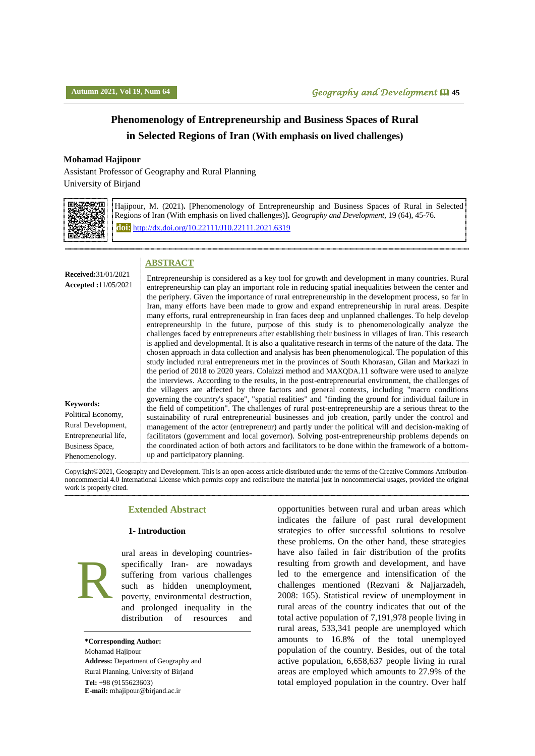# **Phenomenology of Entrepreneurship and Business Spaces of Rural in Selected Regions of Iran (With emphasis on lived challenges)**

#### **Mohamad Hajipour**

Assistant Professor of Geography and Rural Planning

University of Birjand



Hajipour, M. (2021)**.** [Phenomenology of Entrepreneurship and Business Spaces of Rural in Selected Regions of Iran (With emphasis on lived challenges)]**.** *Geography and Development,* 19 (64), 45-76. **doi:** http://dx.doi.org[/10.22111/J10.22111.2021.6319](https://dx.doi.org/10.22111/j10.22111.2021.6319)

#### **ABSTRACT**

**Received:**31/01/2021 **Accepted :**11/05/2021

**Keywords:** Political Economy, Rural Development, Entrepreneurial life, Business Space,

Phenomenology.

entrepreneurship can play an important role in reducing spatial inequalities between the center and the periphery. Given the importance of rural entrepreneurship in the development process, so far in Iran, many efforts have been made to grow and expand entrepreneurship in rural areas. Despite many efforts, rural entrepreneurship in Iran faces deep and unplanned challenges. To help develop entrepreneurship in the future, purpose of this study is to phenomenologically analyze the challenges faced by entrepreneurs after establishing their business in villages of Iran. This research is applied and developmental. It is also a qualitative research in terms of the nature of the data. The chosen approach in data collection and analysis has been phenomenological. The population of this study included rural entrepreneurs met in the provinces of South Khorasan, Gilan and Markazi in the period of 2018 to 2020 years. Colaizzi method and MAXQDA.11 software were used to analyze the interviews. According to the results, in the post-entrepreneurial environment, the challenges of the villagers are affected by three factors and general contexts, including "macro conditions governing the country's space", "spatial realities" and "finding the ground for individual failure in the field of competition". The challenges of rural post-entrepreneurship are a serious threat to the sustainability of rural entrepreneurial businesses and job creation, partly under the control and management of the actor (entrepreneur) and partly under the political will and decision-making of facilitators (government and local governor). Solving post-entrepreneurship problems depends on the coordinated action of both actors and facilitators to be done within the framework of a bottomup and participatory planning.

Entrepreneurship is considered as a key tool for growth and development in many countries. Rural

Copyright©2021, Geography and Development. This is an open-access article distributed under the terms of the Creative Commons Attributionnoncommercial 4.0 International License which permits copy and redistribute the material just in noncommercial usages, provided the original work is properly cited.

#### **Extended Abstract**

#### **1- Introduction**



ural areas in developing countriesspecifically Iran- are nowadays suffering from various challenges such as hidden unemployment, poverty, environmental destruction, and prolonged inequality in the distribution of resources and

**\*Corresponding Author:** Mohamad Hajipour **Address:** Department of Geography and Rural Planning, University of Birjand **Tel:** +98 (9155623603) **E-mail:** [mhajipour@birjand.ac.ir](mailto:mhajipour@birjand.ac.ir)

opportunities between rural and urban areas which indicates the failure of past rural development strategies to offer successful solutions to resolve these problems. On the other hand, these strategies have also failed in fair distribution of the profits resulting from growth and development, and have led to the emergence and intensification of the challenges mentioned (Rezvani & Najjarzadeh, 2008: 165). Statistical review of unemployment in rural areas of the country indicates that out of the total active population of 7,191,978 people living in rural areas, 533,341 people are unemployed which amounts to 16.8% of the total unemployed population of the country. Besides, out of the total active population, 6,658,637 people living in rural areas are employed which amounts to 27.9% of the total employed population in the country. Over half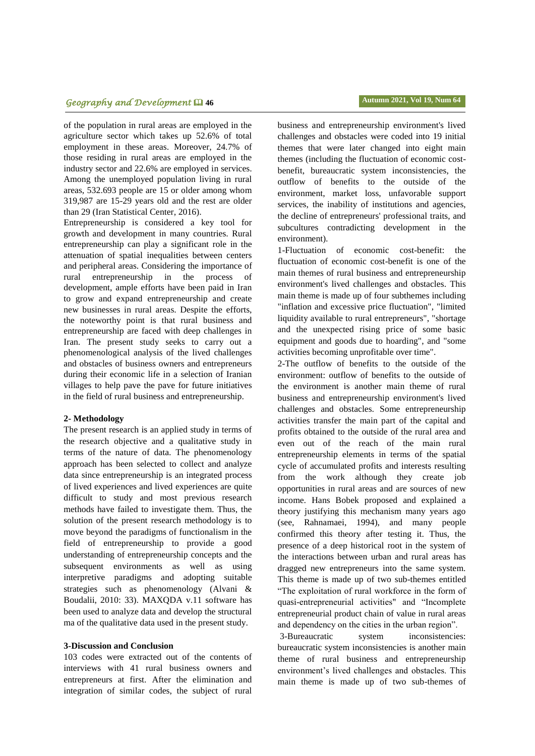# **پاییز ،0011 سال نوزدهم، شماره 60 فصلنامه جغرافیا و توسعه** 54 *Geography and Development* **46 Autumn 2021, Vol 19, Num 64**

of the population in rural areas are employed in the agriculture sector which takes up 52.6% of total employment in these areas. Moreover, 24.7% of those residing in rural areas are employed in the industry sector and 22.6% are employed in services. Among the unemployed population living in rural areas, 532.693 people are 15 or older among whom 319,987 are 15-29 years old and the rest are older than 29 (Iran Statistical Center, 2016).

Entrepreneurship is considered a key tool for growth and development in many countries. Rural entrepreneurship can play a significant role in the attenuation of spatial inequalities between centers and peripheral areas. Considering the importance of rural entrepreneurship in the process of development, ample efforts have been paid in Iran to grow and expand entrepreneurship and create new businesses in rural areas. Despite the efforts, the noteworthy point is that rural business and entrepreneurship are faced with deep challenges in Iran. The present study seeks to carry out a phenomenological analysis of the lived challenges and obstacles of business owners and entrepreneurs during their economic life in a selection of Iranian villages to help pave the pave for future initiatives in the field of rural business and entrepreneurship.

#### **2- Methodology**

The present research is an applied study in terms of the research objective and a qualitative study in terms of the nature of data. The phenomenology approach has been selected to collect and analyze data since entrepreneurship is an integrated process of lived experiences and lived experiences are quite difficult to study and most previous research methods have failed to investigate them. Thus, the solution of the present research methodology is to move beyond the paradigms of functionalism in the field of entrepreneurship to provide a good understanding of entrepreneurship concepts and the subsequent environments as well as using interpretive paradigms and adopting suitable strategies such as phenomenology (Alvani & Boudalii, 2010: 33). MAXQDA v.11 software has been used to analyze data and develop the structural ma of the qualitative data used in the present study.

#### **3-Discussion and Conclusion**

103 codes were extracted out of the contents of interviews with 41 rural business owners and entrepreneurs at first. After the elimination and integration of similar codes, the subject of rural

business and entrepreneurship environment's lived challenges and obstacles were coded into 19 initial themes that were later changed into eight main themes (including the fluctuation of economic costbenefit, bureaucratic system inconsistencies, the outflow of benefits to the outside of the environment, market loss, unfavorable support services, the inability of institutions and agencies, the decline of entrepreneurs' professional traits, and subcultures contradicting development in the environment).

1-Fluctuation of economic cost-benefit: the fluctuation of economic cost-benefit is one of the main themes of rural business and entrepreneurship environment's lived challenges and obstacles. This main theme is made up of four subthemes including "inflation and excessive price fluctuation", "limited liquidity available to rural entrepreneurs", "shortage and the unexpected rising price of some basic equipment and goods due to hoarding", and "some activities becoming unprofitable over time".

2-The outflow of benefits to the outside of the environment: outflow of benefits to the outside of the environment is another main theme of rural business and entrepreneurship environment's lived challenges and obstacles. Some entrepreneurship activities transfer the main part of the capital and profits obtained to the outside of the rural area and even out of the reach of the main rural entrepreneurship elements in terms of the spatial cycle of accumulated profits and interests resulting from the work although they create job opportunities in rural areas and are sources of new income. Hans Bobek proposed and explained a theory justifying this mechanism many years ago (see, Rahnamaei, 1994), and many people confirmed this theory after testing it. Thus, the presence of a deep historical root in the system of the interactions between urban and rural areas has dragged new entrepreneurs into the same system. This theme is made up of two sub-themes entitled "The exploitation of rural workforce in the form of quasi-entrepreneurial activities" and "Incomplete entrepreneurial product chain of value in rural areas and dependency on the cities in the urban region".

3-Bureaucratic system inconsistencies: bureaucratic system inconsistencies is another main theme of rural business and entrepreneurship environment's lived challenges and obstacles. This main theme is made up of two sub-themes of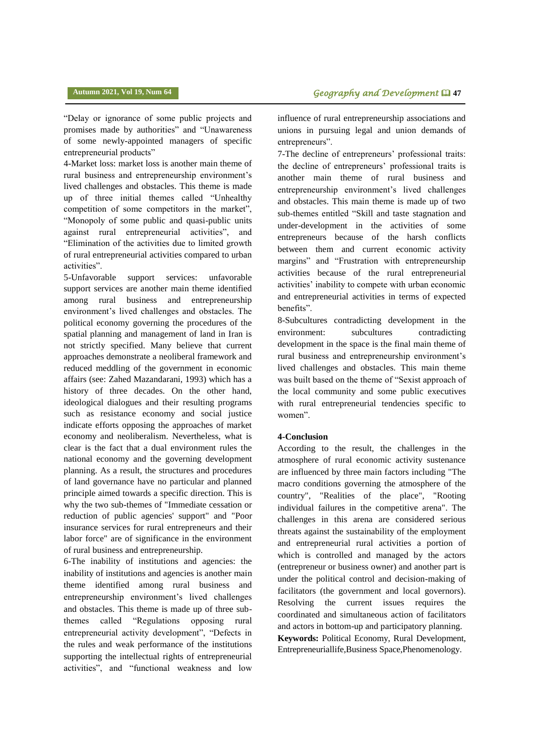"Delay or ignorance of some public projects and promises made by authorities" and "Unawareness of some newly-appointed managers of specific entrepreneurial products"

4-Market loss: market loss is another main theme of rural business and entrepreneurship environment's lived challenges and obstacles. This theme is made up of three initial themes called "Unhealthy competition of some competitors in the market", "Monopoly of some public and quasi-public units against rural entrepreneurial activities", and "Elimination of the activities due to limited growth of rural entrepreneurial activities compared to urban activities".

5-Unfavorable support services: unfavorable support services are another main theme identified among rural business and entrepreneurship environment's lived challenges and obstacles. The political economy governing the procedures of the spatial planning and management of land in Iran is not strictly specified. Many believe that current approaches demonstrate a neoliberal framework and reduced meddling of the government in economic affairs (see: Zahed Mazandarani, 1993) which has a history of three decades. On the other hand, ideological dialogues and their resulting programs such as resistance economy and social justice indicate efforts opposing the approaches of market economy and neoliberalism. Nevertheless, what is clear is the fact that a dual environment rules the national economy and the governing development planning. As a result, the structures and procedures of land governance have no particular and planned principle aimed towards a specific direction. This is why the two sub-themes of "Immediate cessation or reduction of public agencies' support" and "Poor insurance services for rural entrepreneurs and their labor force" are of significance in the environment of rural business and entrepreneurship.

6-The inability of institutions and agencies: the inability of institutions and agencies is another main theme identified among rural business and entrepreneurship environment's lived challenges and obstacles. This theme is made up of three subthemes called "Regulations opposing rural entrepreneurial activity development", "Defects in the rules and weak performance of the institutions supporting the intellectual rights of entrepreneurial activities", and "functional weakness and low influence of rural entrepreneurship associations and unions in pursuing legal and union demands of entrepreneurs".

7-The decline of entrepreneurs' professional traits: the decline of entrepreneurs' professional traits is another main theme of rural business and entrepreneurship environment's lived challenges and obstacles. This main theme is made up of two sub-themes entitled "Skill and taste stagnation and under-development in the activities of some entrepreneurs because of the harsh conflicts between them and current economic activity margins" and "Frustration with entrepreneurship activities because of the rural entrepreneurial activities' inability to compete with urban economic and entrepreneurial activities in terms of expected benefits".

8-Subcultures contradicting development in the environment: subcultures contradicting development in the space is the final main theme of rural business and entrepreneurship environment's lived challenges and obstacles. This main theme was built based on the theme of "Sexist approach of the local community and some public executives with rural entrepreneurial tendencies specific to women".

#### **4-Conclusion**

According to the result, the challenges in the atmosphere of rural economic activity sustenance are influenced by three main factors including "The macro conditions governing the atmosphere of the country", "Realities of the place", "Rooting individual failures in the competitive arena". The challenges in this arena are considered serious threats against the sustainability of the employment and entrepreneurial rural activities a portion of which is controlled and managed by the actors (entrepreneur or business owner) and another part is under the political control and decision-making of facilitators (the government and local governors). Resolving the current issues requires the coordinated and simultaneous action of facilitators and actors in bottom-up and participatory planning. **Keywords:** Political Economy, Rural Development, Entrepreneuriallife,Business Space,Phenomenology.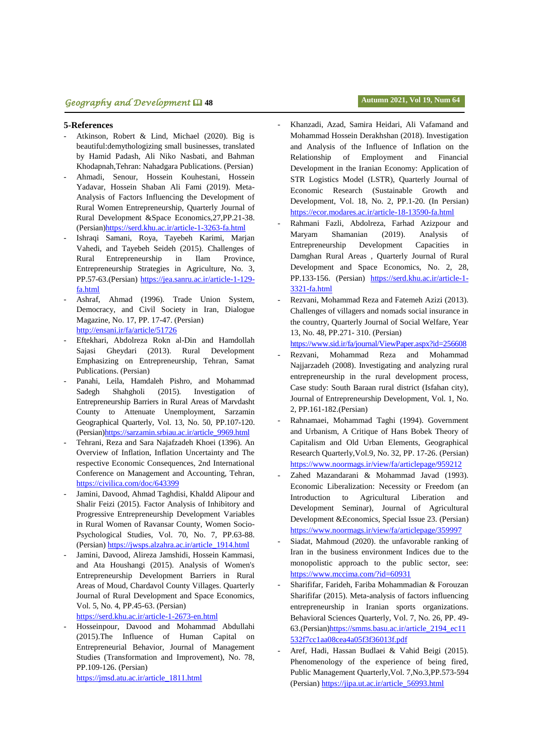# **پاییز ،0011 سال نوزدهم، شماره 60 فصلنامه جغرافیا و توسعه** 54 *Geography and Development* **48 Autumn 2021, Vol 19, Num 64**

#### **5-References**

- Atkinson, Robert & Lind, Michael (2020). Big is beautiful:demythologizing small businesses, translated by Hamid Padash, Ali Niko Nasbati, and Bahman Khodapnah,Tehran: Nahadgara Publications. (Persian)
- Ahmadi, Senour, Hossein Kouhestani, Hossein Yadavar, Hossein Shaban Ali Fami (2019). Meta-Analysis of Factors Influencing the Development of Rural Women Entrepreneurship, Quarterly Journal of Rural Development &Space Economics,27,PP.21-38. (Persian[\)https://serd.khu.ac.ir/article-1-3263-fa.html](https://serd.khu.ac.ir/article-1-3263-fa.html)
- Ishraqi Samani, Roya, Tayebeh Karimi, Marjan Vahedi, and Tayebeh Seideh (2015). Challenges of Rural Entrepreneurship in Ilam Province, Entrepreneurship Strategies in Agriculture, No. 3, PP.57-63.(Persian) [https://jea.sanru.ac.ir/article-1-129](https://jea.sanru.ac.ir/article-1-129-fa.html) [fa.html](https://jea.sanru.ac.ir/article-1-129-fa.html)
- Ashraf, Ahmad (1996). Trade Union System, Democracy, and Civil Society in Iran, Dialogue Magazine, No. 17, PP. 17-47. (Persian) <http://ensani.ir/fa/article/51726>
- Eftekhari, Abdolreza Rokn al-Din and Hamdollah Sajasi Gheydari (2013). Rural Development Emphasizing on Entrepreneurship, Tehran, Samat Publications. (Persian)
- Panahi, Leila, Hamdaleh Pishro, and Mohammad Sadegh Shahgholi (2015). Investigation of Entrepreneurship Barriers in Rural Areas of Marvdasht County to Attenuate Unemployment, Sarzamin Geographical Quarterly, Vol. 13, No. 50, PP.107-120. (Persian[\)https://sarzamin.srbiau.ac.ir/article\\_9969.html](https://sarzamin.srbiau.ac.ir/article_9969.html)
- Tehrani, Reza and Sara Najafzadeh Khoei (1396). An Overview of Inflation, Inflation Uncertainty and The respective Economic Consequences, 2nd International Conference on Management and Accounting, Tehran, <https://civilica.com/doc/643399>
- Jamini, Davood, Ahmad Taghdisi, Khaldd Alipour and Shalir Feizi (2015). Factor Analysis of Inhibitory and Progressive Entrepreneurship Development Variables in Rural Women of Ravansar County, Women Socio-Psychological Studies, Vol. 70, No. 7, PP.63-88. (Persian) [https://jwsps.alzahra.ac.ir/article\\_1914.html](https://jwsps.alzahra.ac.ir/article_1914.html)
- Jamini, Davood, Alireza Jamshidi, Hossein Kammasi, and Ata Houshangi (2015). Analysis of Women's Entrepreneurship Development Barriers in Rural Areas of Moud, Chardavol County Villages. Quarterly Journal of Rural Development and Space Economics, Vol. 5, No. 4, PP.45-63. (Persian)
- <https://serd.khu.ac.ir/article-1-2673-en.html>
- Hosseinpour, Davood and Mohammad Abdullahi (2015).The Influence of Human Capital on Entrepreneurial Behavior, Journal of Management Studies (Transformation and Improvement), No. 78, PP.109-126. (Persian) [https://jmsd.atu.ac.ir/article\\_1811.html](https://jmsd.atu.ac.ir/article_1811.html)

- Khanzadi, Azad, Samira Heidari, Ali Vafamand and Mohammad Hossein Derakhshan (2018). Investigation and Analysis of the Influence of Inflation on the Relationship of Employment and Financial Development in the Iranian Economy: Application of STR Logistics Model (LSTR), Quarterly Journal of Economic Research (Sustainable Growth and Development, Vol. 18, No. 2, PP.1-20. (In Persian) <https://ecor.modares.ac.ir/article-18-13590-fa.html>
- Rahmani Fazli, Abdolreza, Farhad Azizpour and Maryam Shamanian (2019). Analysis of Entrepreneurship Development Capacities in Damghan Rural Areas , Quarterly Journal of Rural Development and Space Economics, No. 2, 28, PP.133-156. (Persian) [https://serd.khu.ac.ir/article-1-](https://serd.khu.ac.ir/article-1-3321-fa.html) [3321-fa.html](https://serd.khu.ac.ir/article-1-3321-fa.html)
- Rezvani, Mohammad Reza and Fatemeh Azizi (2013). Challenges of villagers and nomads social insurance in the country, Quarterly Journal of Social Welfare, Year 13, No. 48, PP.271- 310. (Persian)

<https://www.sid.ir/fa/journal/ViewPaper.aspx?id=256608>

- Rezvani, Mohammad Reza and Mohammad Najjarzadeh (2008). Investigating and analyzing rural entrepreneurship in the rural development process, Case study: South Baraan rural district (Isfahan city), Journal of Entrepreneurship Development, Vol. 1, No. 2, PP.161-182.(Persian)
- Rahnamaei, Mohammad Taghi (1994). Government and Urbanism, A Critique of Hans Bobek Theory of Capitalism and Old Urban Elements, Geographical Research Quarterly,Vol.9, No. 32, PP. 17-26. (Persian) <https://www.noormags.ir/view/fa/articlepage/959212>
- Zahed Mazandarani & Mohammad Javad (1993). Economic Liberalization: Necessity or Freedom (an Introduction to Agricultural Liberation and Development Seminar), Journal of Agricultural Development &Economics, Special Issue 23. (Persian) <https://www.noormags.ir/view/fa/articlepage/359997>
- Siadat, Mahmoud (2020). the unfavorable ranking of Iran in the business environment Indices due to the monopolistic approach to the public sector, see: <https://www.mccima.com/?id=60931>
- Sharififar, Farideh, Fariba Mohammadian & Forouzan Sharififar (2015). Meta-analysis of factors influencing entrepreneurship in Iranian sports organizations. Behavioral Sciences Quarterly, Vol. 7, No. 26, PP. 49- 63.(Persian[\)https://smms.basu.ac.ir/article\\_2194\\_ec11](https://smms.basu.ac.ir/article_2194_ec11532f7cc1aa08cea4a05f3f36013f.pdf) [532f7cc1aa08cea4a05f3f36013f.pdf](https://smms.basu.ac.ir/article_2194_ec11532f7cc1aa08cea4a05f3f36013f.pdf)
- Aref, Hadi, Hassan Budlaei & Vahid Beigi (2015). Phenomenology of the experience of being fired, Public Management Quarterly,Vol. 7,No.3,PP.573-594 (Persian) [https://jipa.ut.ac.ir/article\\_56993.html](https://jipa.ut.ac.ir/article_56993.html)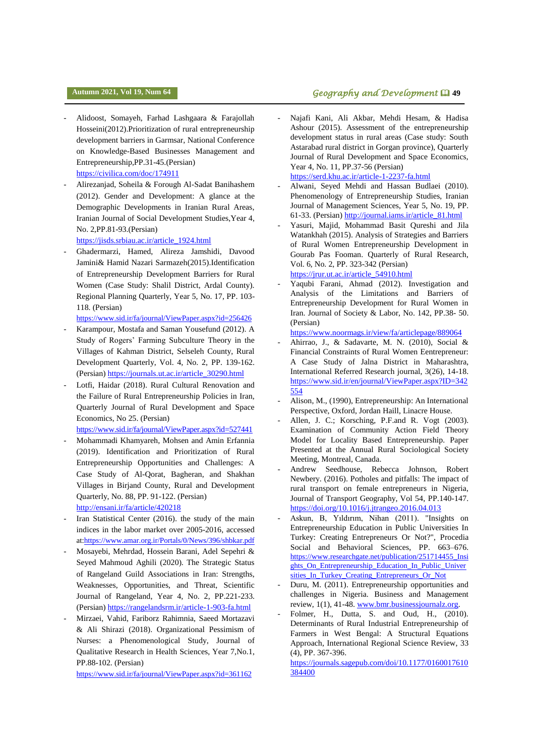- Alidoost, Somayeh, Farhad Lashgaara & Farajollah Hosseini(2012).Prioritization of rural entrepreneurship development barriers in Garmsar, National Conference on Knowledge-Based Businesses Management and Entrepreneurship,PP.31-45.(Persian) <https://civilica.com/doc/174911>
- Alirezanjad, Soheila & Forough Al-Sadat Banihashem (2012). Gender and Development: A glance at the Demographic Developments in Iranian Rural Areas, Iranian Journal of Social Development Studies,Year 4, No. 2,PP.81-93.(Persian)

[https://jisds.srbiau.ac.ir/article\\_1924.html](https://jisds.srbiau.ac.ir/article_1924.html)

- Ghadermarzi, Hamed, Alireza Jamshidi, Davood Jamini& Hamid Nazari Sarmazeh(2015).Identification of Entrepreneurship Development Barriers for Rural Women (Case Study: Shalil District, Ardal County). Regional Planning Quarterly, Year 5, No. 17, PP. 103- 118. (Persian)

<https://www.sid.ir/fa/journal/ViewPaper.aspx?id=256426>

- Karampour, Mostafa and Saman Yousefund (2012). A Study of Rogers' Farming Subculture Theory in the Villages of Kahman District, Selseleh County, Rural Development Quarterly, Vol. 4, No. 2, PP. 139-162. (Persian) [https://journals.ut.ac.ir/article\\_30290.html](https://journals.ut.ac.ir/article_30290.html)
- Lotfi, Haidar (2018). Rural Cultural Renovation and the Failure of Rural Entrepreneurship Policies in Iran, Quarterly Journal of Rural Development and Space Economics, No 25. (Persian)

<https://www.sid.ir/fa/journal/ViewPaper.aspx?id=527441>

- Mohammadi Khamyareh, Mohsen and Amin Erfannia (2019). Identification and Prioritization of Rural Entrepreneurship Opportunities and Challenges: A Case Study of Al-Qorat, Bagheran, and Shakhan Villages in Birjand County, Rural and Development Quarterly, No. 88, PP. 91-122. (Persian) <http://ensani.ir/fa/article/420218>
- Iran Statistical Center (2016). the study of the main indices in the labor market over 2005-2016, accessed a[t:https://www.amar.org.ir/Portals/0/News/396/shbkar.pdf](https://www.amar.org.ir/Portals/0/News/396/shbkar.pdf)
- Mosayebi, Mehrdad, Hossein Barani, Adel Sepehri & Seyed Mahmoud Aghili (2020). The Strategic Status of Rangeland Guild Associations in Iran: Strengths, Weaknesses, Opportunities, and Threat, Scientific Journal of Rangeland, Year 4, No. 2, PP.221-233. (Persian)<https://rangelandsrm.ir/article-1-903-fa.html>
- Mirzaei, Vahid, Fariborz Rahimnia, Saeed Mortazavi & Ali Shirazi (2018). Organizational Pessimism of Nurses: a Phenomenological Study, Journal of Qualitative Research in Health Sciences, Year 7,No.1, PP.88-102. (Persian)

<https://www.sid.ir/fa/journal/ViewPaper.aspx?id=361162>

# **a Autumn 2021, Vol 19, Num 64 Contrary on the same of the same of Geography and Development <b>Q** 49

- Najafi Kani, Ali Akbar, Mehdi Hesam, & Hadisa Ashour (2015). Assessment of the entrepreneurship development status in rural areas (Case study: South Astarabad rural district in Gorgan province), Quarterly Journal of Rural Development and Space Economics, Year 4, No. 11, PP.37-56 (Persian) <https://serd.khu.ac.ir/article-1-2237-fa.html>

- Alwani, Seyed Mehdi and Hassan Budlaei (2010). Phenomenology of Entrepreneurship Studies, Iranian Journal of Management Sciences, Year 5, No. 19, PP. 61-33. (Persian[\) http://journal.iams.ir/article\\_81.html](http://journal.iams.ir/article_81.html)

- Yasuri, Majid, Mohammad Basit Qureshi and Jila Watankhah (2015). Analysis of Strategies and Barriers of Rural Women Entrepreneurship Development in Gourab Pas Fooman. Quarterly of Rural Research, Vol. 6, No. 2, PP. 323-342 (Persian) [https://jrur.ut.ac.ir/article\\_54910.html](https://jrur.ut.ac.ir/article_54910.html)
- Yaqubi Farani, Ahmad (2012). Investigation and Analysis of the Limitations and Barriers of Entrepreneurship Development for Rural Women in Iran. Journal of Society & Labor, No. 142, PP.38- 50. (Persian)

<https://www.noormags.ir/view/fa/articlepage/889064>

- Ahirrao, J., & Sadavarte, M. N. (2010), Social & Financial Constraints of Rural Women Eentrepreneur: A Case Study of Jalna District in Maharashtra, International Referred Research journal, 3(26), 14-18. [https://www.sid.ir/en/journal/ViewPaper.aspx?ID=342](https://www.sid.ir/en/journal/ViewPaper.aspx?ID=342554) [554](https://www.sid.ir/en/journal/ViewPaper.aspx?ID=342554)
- Alison, M., (1990), Entrepreneurship: An International Perspective, Oxford, Jordan Haill, Linacre House.
- Allen, J. C.; Korsching, P.F.and R. Vogt (2003). Examination of Community Action Field Theory Model for Locality Based Entrepreneurship. Paper Presented at the Annual Rural Sociological Society Meeting, Montreal, Canada.
- Andrew Seedhouse, Rebecca Johnson, Robert Newbery. (2016). Potholes and pitfalls: The impact of rural transport on female entrepreneurs in Nigeria, Journal of Transport Geography, Vol 54, PP.140-147. <https://doi.org/10.1016/j.jtrangeo.2016.04.013>
- Askun, B, Yıldırım, Nihan (2011). "Insights on Entrepreneurship Education in Public Universities In Turkey: Creating Entrepreneurs Or Not?", Procedia Social and Behavioral Sciences, PP. 663–676. [https://www.researchgate.net/publication/251714455\\_Insi](https://www.researchgate.net/publication/251714455_Insights_On_Entrepreneurship_Education_In_Public_Universities_In_Turkey_Creating_Entrepreneurs_Or_Not) [ghts\\_On\\_Entrepreneurship\\_Education\\_In\\_Public\\_Univer](https://www.researchgate.net/publication/251714455_Insights_On_Entrepreneurship_Education_In_Public_Universities_In_Turkey_Creating_Entrepreneurs_Or_Not) [sities\\_In\\_Turkey\\_Creating\\_Entrepreneurs\\_Or\\_Not](https://www.researchgate.net/publication/251714455_Insights_On_Entrepreneurship_Education_In_Public_Universities_In_Turkey_Creating_Entrepreneurs_Or_Not)
- Duru, M. (2011). Entrepreneurship opportunities and challenges in Nigeria. Business and Management review, 1(1), 41-48[. www.bmr.businessjournalz.org.](http://www.bmr.businessjournalz.org/)
- Folmer, H., Dutta, S. and Oud, H., (2010). Determinants of Rural Industrial Entrepreneurship of Farmers in West Bengal: A Structural Equations Approach, International Regional Science Review, 33 (4), PP. 367-396.

[https://journals.sagepub.com/doi/10.1177/0160017610](https://journals.sagepub.com/doi/10.1177/0160017610384400) [384400](https://journals.sagepub.com/doi/10.1177/0160017610384400)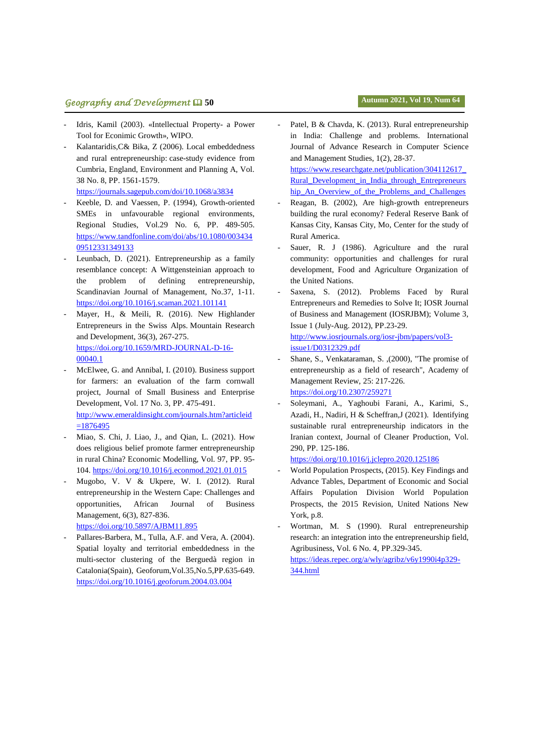# **پاییز ،0011 سال نوزدهم، شماره 60 فصلنامه جغرافیا و توسعه** 45 *Geography and Development* **50 Autumn 2021, Vol 19, Num 64**

- Idris, Kamil (2003). «Intellectual Property- a Power Tool for Econimic Growth», WIPO.
- Kalantaridis, C& Bika, Z (2006). Local embeddedness and rural entrepreneurship: case-study evidence from Cumbria, England, Environment and Planning A, Vol. 38 No. 8, PP. 1561-1579.

<https://journals.sagepub.com/doi/10.1068/a3834>

- Keeble, D. and Vaessen, P. (1994), Growth-oriented SMEs in unfavourable regional environments, Regional Studies, Vol.29 No. 6, PP. 489-505. [https://www.tandfonline.com/doi/abs/10.1080/003434](https://www.tandfonline.com/doi/abs/10.1080/00343409512331349133) [09512331349133](https://www.tandfonline.com/doi/abs/10.1080/00343409512331349133)
- Leunbach, D. (2021). Entrepreneurship as a family resemblance concept: A Wittgensteinian approach to the problem of defining entrepreneurship, Scandinavian Journal of Management, No.37, 1-11. <https://doi.org/10.1016/j.scaman.2021.101141>
- Mayer, H., & Meili, R. (2016). New Highlander Entrepreneurs in the Swiss Alps. Mountain Research and Development, 36(3), 267-275. [https://doi.org/10.1659/MRD-JOURNAL-D-16-](https://doi.org/10.1659/MRD-JOURNAL-D-16-00040.1) [00040.1](https://doi.org/10.1659/MRD-JOURNAL-D-16-00040.1)
- McElwee, G. and Annibal, I. (2010). Business support for farmers: an evaluation of the farm cornwall project, Journal of Small Business and Enterprise Development, Vol. 17 No. 3, PP. 475-491. [http://www.emeraldinsight.com/journals.htm?articleid](http://www.emeraldinsight.com/journals.htm?articleid=1876495)  $=1876495$
- Miao, S. Chi, J. Liao, J., and [Qian,](https://www.sciencedirect.com/science/article/abs/pii/S0264999321000237#!) L. (2021). How does religious belief promote farmer entrepreneurship in rural China? Economic Modelling, Vol. 97, PP. 95- 104[. https://doi.org/10.1016/j.econmod.2021.01.015](https://doi.org/10.1016/j.econmod.2021.01.015)
- Mugobo, V. V & Ukpere, W. I. (2012). Rural entrepreneurship in the Western Cape: Challenges and opportunities, African Journal of Business Management, 6(3), 827-836.

<https://doi.org/10.5897/AJBM11.895>

Pallares-Barbera, M., Tulla, A.F. and Vera, A. (2004). Spatial loyalty and territorial embeddedness in the multi-sector clustering of the Berguedà region in Catalonia(Spain), Geoforum,Vol.35,No.5,PP.635-649. <https://doi.org/10.1016/j.geoforum.2004.03.004>

Patel, B & Chavda, K. (2013). Rural entrepreneurship in India: Challenge and problems. International Journal of Advance Research in Computer Science and Management Studies, 1(2), 28-37. [https://www.researchgate.net/publication/304112617\\_](https://www.researchgate.net/publication/304112617_Rural_Development_in_India_through_Entrepreneurship_An_Overview_of_the_Problems_and_Challenges)

[Rural\\_Development\\_in\\_India\\_through\\_Entrepreneurs](https://www.researchgate.net/publication/304112617_Rural_Development_in_India_through_Entrepreneurship_An_Overview_of_the_Problems_and_Challenges) [hip\\_An\\_Overview\\_of\\_the\\_Problems\\_and\\_Challenges](https://www.researchgate.net/publication/304112617_Rural_Development_in_India_through_Entrepreneurship_An_Overview_of_the_Problems_and_Challenges)

- Reagan, B. (2002), Are high-growth entrepreneurs building the rural economy? Federal Reserve Bank of Kansas City, Kansas City, Mo, Center for the study of Rural America.
- Sauer, R. J (1986). Agriculture and the rural community: opportunities and challenges for rural development, Food and Agriculture Organization of the United Nations.
- Saxena, S. (2012). Problems Faced by Rural Entrepreneurs and Remedies to Solve It; IOSR Journal of Business and Management (IOSRJBM); Volume 3, Issue 1 (July-Aug. 2012), PP.23-29. [http://www.iosrjournals.org/iosr-jbm/papers/vol3-](http://www.iosrjournals.org/iosr-jbm/papers/vol3-issue1/D0312329.pdf)

[issue1/D0312329.pdf](http://www.iosrjournals.org/iosr-jbm/papers/vol3-issue1/D0312329.pdf)

- Shane, S., Venkataraman, S. ,(2000), "The promise of entrepreneurship as a field of research", Academy of Management Review, 25: 217-226. <https://doi.org/10.2307/259271>
- Soleymani, A., Yaghoubi Farani, A., Karimi, S., Azadi, H., Nadiri, H & Scheffran,J (2021). Identifying sustainable rural entrepreneurship indicators in the Iranian context, [Journal of Cleaner Production,](https://www.sciencedirect.com/science/journal/09596526) [Vol.](https://www.sciencedirect.com/science/journal/09596526/290/supp/C)  [290,](https://www.sciencedirect.com/science/journal/09596526/290/supp/C) PP. 125-186.

<https://doi.org/10.1016/j.jclepro.2020.125186>

- World Population Prospects, (2015). Key Findings and Advance Tables, Department of Economic and Social Affairs Population Division World Population Prospects, the 2015 Revision, United Nations New York, p.8.
- Wortman, M. S (1990). Rural entrepreneurship research: an integration into the entrepreneurship field, Agribusiness, Vol. 6 No. 4, PP.329-345. [https://ideas.repec.org/a/wly/agribz/v6y1990i4p329-](https://ideas.repec.org/a/wly/agribz/v6y1990i4p329-344.html) [344.html](https://ideas.repec.org/a/wly/agribz/v6y1990i4p329-344.html)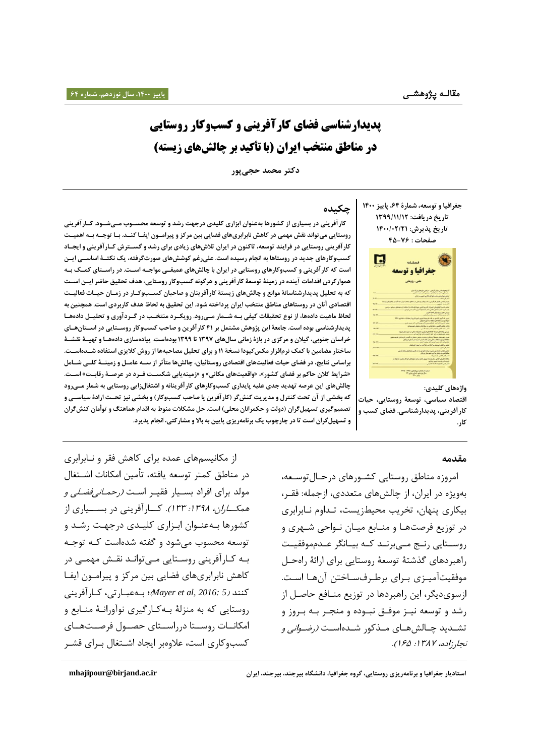# **پدیدارشناسی فضای کارآفرینی و کسبوکار روستایی در مناطق منتخب ایران )با تأکید بر چالشهای زیسته(**

**دکتر محمد حجیپور**

**جغرافیا وتوسعه، شمارۀ ،64 پاییز 0411 تاریخ دریافت: 0911/00/01 تاریخ پذیرش: 0011/11/10 صفحات : 44-66**



**واژههای کلیدی: اقتصاد سیاسی، توسعۀ روستایی، حیات کارآفرینی، پدیدارشناسی. فضای کسب و کار.** 

### **چکیده**

کار آفرینی در بسیاری از کشورها بهعنوان ابزاری کلیدی درجهت رشد و توسعه محســوب مــیشــود. کــار آفرینی  **روستایی می تواند نقش مهمی در کاهش نابرابری های فضایی بین مرکز و پیراموون ایفوا کنود . بوا توجوه بوه اهمیوت کارآفرینی روستایی در فرایند توسعه، تاکنون در ایران تالشهای زیادی برای رشد و گسوترش کوارآفرینی و ایجواد کسبوکارهای جدید در روستاها به انجام رسیده است. علیرغم کوششهای صورتگرفته، یک نکتو ۀ اساسوی ایون**  است که کار آفرینی و کسبوکارهای روستایی در ایران با چالش های عمیقـی مواجــه اســت. در راســتای کمــک بــه  **هموار کردن اقدامات آینده در زمینۀ توسعۀ کارآفرینی و هرگونه کسب وکار روستایی، هدف تحقیق حاضر ایون اسوت**  که به تحلیل پدیدارشناسانۀ موانع و چالشهای زیستۀ کار آفرینان و صاحبان کسـبوکـار در زمـان حیـات فعالیـت  **اقتصادی آنان در روستاهای مناطق منتخب ایران پرداخته شود. این تحقیق به لحاظ هدف کاربردی است. همچنین به**  لحاظ ماهیت دادهها، از نوع تحقیقات کیفی بــه شــمار مــیرود. رویکــرد منتخــب در گــردآوری و تحلیــل دادههــا **پدیدارشناسی بوده است. جامعۀ این پژوهش مشتمل بر 40 کارآفرین و صاحب کسبوکار روسوتایی در اسوتان هوای خراسان جنوبی، گیالن و مرکزی در بازۀ زمانی سالهای 0936 تا 0933 بودهاست. پیادهسازی دادههوا و تهیو ۀ نقشو ۀ ساختار مضامین با کمک نرمافزارمکسکیودا نسخۀ 00و برای تحلیل مصاحبهها از روش کالیزی استفاده شوده اسوت . براساس نتایج، در فضای حیات فعالیتهای اقتصادی روستائیان، چالشها متأثر از سوه عامول و زمینو ۀ کلوی شوامل »شرایط کالن حاکم بر فضای کشور«، »واقعیتهای مکانی« و »زمینهیابی شکسوت فورد در عرصو ۀ رقابوت « اسوت . چالشهای این عرصه تهدید جدی علیه پایداری کسبوکارهای کارآفرینانه و اشتغالزایی روستایی به شمار موی رود که بخشی از آن تحت کنترل و مدیریت کنشگر )کارآفرین یا صاحب کسبوکار( و بخشی نیز تحوت ارادۀ سیاسوی و**  تصمیمگیری تسهیل**گران (دولت و حکمرانان محلی) است. حل مشکلات** منوط به اقدام هماهنگ و توأمان کنشگران **و تسهیلگران است تا در چارچو یک برنامهریزی پایین به باال و مشارکتی، انجام پذیرد.** 

#### **مقدمه**

امروزه مناطق روستایی کشورهای درحال توسعه، بهویژه در ایران، از چالشهای متعددی، ازجمله: فقـر، بیکاری پنهان، تخریب محیطزیست، تـداوم نـابرابری در توزیع فرصتها و منـابع میـان نـواحی شـهری و روسـتایی رنـج مـیبرنـد کـه بیـانگر عـدمموفقیـت راهبردهای گذشتۀ توسعۀ روستایی برای ارائۀ راهحـل موفقیتآمیـزی بـرای برطـرفسـاختن آنهـا اسـت. ازسوی دیگر، این راهبردها در توزیع منـافع حاصـل از رشد و توسعه نیـز موفـق نبـوده و منجـر بـه بـروز و تشـدید چـالشهــای مــذکور شــدهاســت *(رضــوانی و* نجار زاده، ۱۳۸۷: ۱۶۵).

از مکانیسمهای عمده برای کاهش فقر و نـابرابری در مناطق کمتر توسعه یافته، تأمین امکانات اشــتغال مولد برای افراد بسـيار فقيـر اسـت *(رحمــانيفضـلي و* هم*کاران، ۱۳۹۸: ۱۳۳).* کـارآفرینی در بســیاری از کشورها بـهعنـوان ابـزاری کلیـدی درجهـت رشـد و توسعه محسوب میشود و گفته شدهاست کـه توجـه بـه کـارآفرینی روسـتایی مـیتوانـد نقـش مهمـی در کاهش نابرابریهای فضایی بین مرکز و پیرامون ایفا کنند )*5 2016: ,al et Mayer*)؛ بو، عبوارتی کوارآفرینی روستایی که به منزلۀ بـهکـارگیری نوآورانـۀ منــابع و امکانات روستا درراستای حصول فرصتهای کسب وکاری است، علاوه بر ایجاد اشتغال بـرای قشـر

**استادیار جغرافیا و برنامهریزی روستایی، گروه جغرافیا، دانشگاه بیرجند، بیرجند، ایران [ir.ac.birjand@mhajipour](mailto:mhajipour@birjand.ac.ir)**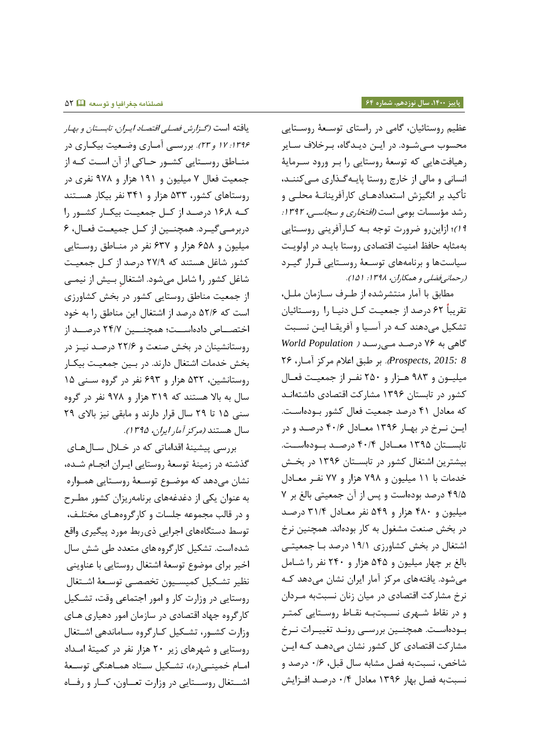عظیم روستائیان، گامی در راستای توسـعۀ روسـتایی محسوب مـیشـود. در ایـن دیـدگاه، بـرخلاف سـایر رهیافت هایی که توسعۀ روستایی را بور ورود سومایۀ انسانی و مالی از خارج روستا پایه گذاری میکنند، تأکید بر انگیزش استعدادهـای کارآفرینانـهٔ محلـی و ر شد مؤسسات بومی است *(افتخاری و سجاسی، ۱۳۹۲:* 14)؛ ازاین رو ضرورت توجه بـه کـارآفرینی روسـتایی به مثابه حافظ امنیت اقتصادی روستا باید در اولویت سیاستها و برنامههای توسعهٔ روستایی قـرار گیـرد (رحمانی فضلی و همکاران، ۱۳۹۸: ۱۵۱).

مطابق با آمار منتشرشده از طـرف ســازمان ملــل، تقریباً ۶۲ درصد از جمعیت کل دنیا را روستائیان تشکیل میدهند کـه در آسـیا و آفریقـا ایـن نسـبت گاای ب، 44 ررصود موی رسود ) *Population World 8 2015: ,Prospects*). بر طبق اعال مرکي آموار 54 میلیون و ۹۸۳ هـزار و ۲۵۰ نفـر از جمعیـت فعـال کشور در تابستان ۱۳۹۶ مشارکت اقتصادی داشتهانـد که معادل ۴۱ درصد جمعیت فعال کشور بودهاست. ایین نیرخ در بهبار ۱۳۹۶ معیادل ۴۰/۶ درصید و در تابستان ١٣٩۵ معــادل ۴٠/۴ درصـد بـودهاسـت. بیشترین اشتغال کشور در تابستان ۱۳۹۶ در بخش خدمات با ١١ میلیون و ٧٩٨ هزار و ٧٧ نفـر معـادل ۴۹/۵ درصد بودهاست و پس از آن جمعیتی بالغ بر ۷ میلیرن و 545 ايار و 454 افر مهوار 85/5 ررصود در بخش صنعت مشغول به کار بودهاند. همچنین نرخ اشتغال در بخش کشاورزی ۱۹/۱ درصد با جمعیتی بالغ بر چهار میلیون و ۵۴۵ هزار و ۲۴۰ نفر را شـامل میشود. یافتههای مرکز آمار ایران نشان میدهد کـه نرخ مشارکت اقتصادی در میان زنان نسبتبه مـردان و در نقاط شـهری نسـبتبـه نقـاط روسـتایی کمتـر بودهاست. همچنین بررسی رونـد تغییـرات نـرخ مشارکت اقتصادی کل کشور نشان میدهـد کـه ایـن شاخص، نسبت به فصل مشابه سال قبل، ۱۶۰ درصد و نسبتبه فصل بهار ۱۳۹۶ معادل ۰/۴ درصد افـزایش

یافته است *(گزارش فصلی اقتصاد ایران، تابستان و بها*ر ۱۲۹۶: ۱۲ و ۲۳). بررسی آماری وضعیت بیکاری در منــاطق روســتایی کشــور حــاکی از آن اسـت کــه از جمعیت فعال ۷ میلیون و ۱۹۱ هزار و ۹۷۸ نفری در روستاهای کشور، ۵۳۳ هزار و ۳۴۱ نفر بیکار هستند کـه ۱۶٫۸ درصـد از کـل جمعیـت بیکـار کشـور را دربرمے گیرد. همچنین از کل جمیعت فعال، ۶ میلیون و ۶۵۸ هزار و ۶۳۷ نفر در مناطق روستایی کشور شاغل هستند که ۲۷/۹ درصد از کـل جمعیـت شاغل کشور را شامل میشود. اشتغال بـیش از نیمـی از جمهیت مناطق روستایی کشرر رر بخش کشاورز است که ۵۲/۶ درصد از اشتغال این مناطق را به خود اختصـــاص دادهاســـت؛ همچنــــین ۲۴/۷ درصـــد از روستانشینان در بخش صنعت و ۲۲/۶ درصد نیـز در بخش خدمات اشتغال دارند. در بـین جمعیـت بیکـار روستانشین، ۵۳۲ هزار و ۶۹۳ نفر در گروه سـنی ۱۵ سال به بالا هستند که ۳۱۹ هزار و ۹۷۸ نفر در گروه سنی ١۵ تا ٢٩ سال قرار دارند و مابقی نیز بالای ٢٩ سال هستند (مرکز آمار ایران، ۱۳۹۵).

بررسی پیشینۀ اقداماتی که در خـلال سـالهـای گذشته در زمینۀ توسعۀ روستایی ایـران انجـام شـده، نشان میدهد که موضـوع توسـعهٔ روسـتایی همـواره به عنوان یکی از دغدغههای برنامهریزان کشور مطـرح و در قالب مجموعه جلسات و کارگروههـای مختلـف، توسط دستگاههای اجرایی ذی ربط مورد پیگیری واقع شده است. تشکیل کارگروه های متعدد طی شش سال اخیر برای موضوع توسعۀ اشتغال روستایی با عناوینی نظیر تشكیل كمیسـیون تخصصـی توسـعهٔ اشـتغال روستایی در وزارت کار و امور اجتماعی وقت، تشکیل کارگروه جهاد اقتصادی در سازمان امور دهیاری هـای وزارت کشور، تشکیل کارگروه ساماندهی اشتغال روستایی و شهرهای زیر ٢٠ هزار نفر در کمیتۀ امداد امام خمینی(ره)، تشکیل ستاد هماهنگی توسعهٔ اشتغال روستایی در وزارت تعـاون، کـار و رفـاه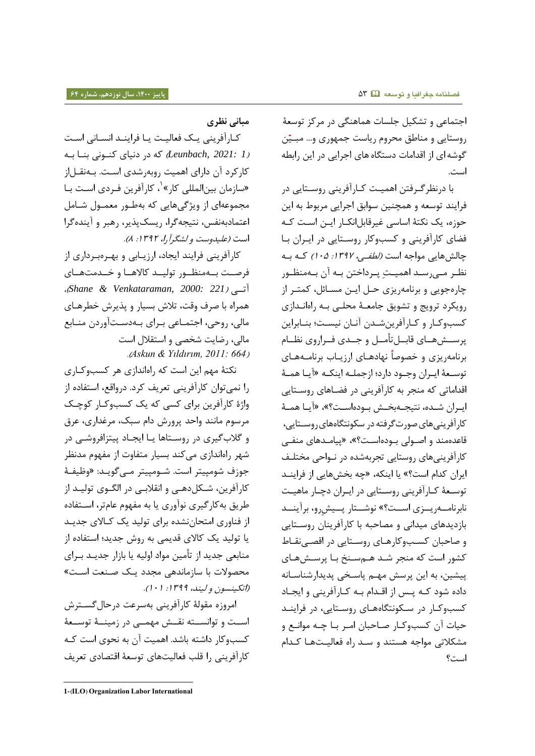اجتماعی و تشکیل جلسات هماهنگی در مرکز توسعهٔ روستایی و مناطق محروم ریاست جمهوری و… مبـیّن گوشه ای از اقدامات دستگاه های اجرایی در این رابطه است.

با درنظرگرفتن اهمیت کـارآفرینی روسـتایی در فرایند توسعه و همچنین سوابق اجرایی مربوط به این حوزه، یک نکتۀ اساسی غیرقابل|نکـار ایــن اســت کــه فضای کارآفرینی و کسب وکار روستایی در ایران با چالش هایی مواجه است *(لطفی، ۱۳۹۷: ۲۰۵)* کـه بـه نظـر مـیرسـد اهمیـتِ پـرداختن بـه آن بـهمنظـور چاره جویی و برنامه ریزی حـل ایـن مسـائل، کمتـر از رویکرد ترویج و تشویق جامعـهٔ محلـی بـه راهانـدازی کسب وکار و کارآفرین شدن آنان نیست؛ بنـابراین پرســش&ــاي قابــلتأمــل و جــدي فــراروي نظــام برنامهریزی و خصوصاً نهادهـای ارزیـاب برنامـههـای توسعۀ ایران وجـود دارد؛ ازجملـه اینکـه «آیـا همـۀ اقداماتی که منجر به کارآفرینی در فضـاهای روسـتایی ایران شـده، نتیجــهبخـش بــودهاسـت؟»، «آیــا همــهٔ کارآفرینی های صورت گرفته در سکونتگاههای روستایی، قاعدهمند و اصـولی بـودهاسـت؟»، «پیامـدهای منفـی کارآفرینی های روستایی تجربهشده در نـواحی مختلـف ایران کدام است؟» یا اینکه، «چه بخشهایی از فراینـد توسعۀ کـارآفرینی روسـتایی در ایـران دچـار ماهیـت نابرنامه ریوزی است؟» نوشتار پویش رو، برآیند بازدیدهای میدانی و مصاحبه با کارآفرینان روستایی و صاحبان کسبوکارهای روستایی در اقصی نقاط کشور است که منجر شـد هـمسـنخ بـا پرسـشهـای پیشین، به این پرسش مهـم پاسـخی پدیدار شناسـانه داده شود کـه پـس از اقـدام بـه کـارآفرینی و ایجـاد کسب وکار در سکونتگاههای روستایی، در فرایند حیات آن کسب وکار صاحبان امر بـا چـه موانـع و مشکلاتی مواجه هستند و سـد راه فعالیـتهـا کـدام است؟

**مبانی نظری**

کارآفرینی یک فعالیت یا فرایند انسانی است )*1 2021: ,Leunbach* )ک، رر رایا کنورای بنوا بو، کارکرد آن دارای اهمیت روبهرشدی است. بــهنقــل|ز «سازمان بینالمللی کار»<sup>۱</sup>، کارآفرین فـردی اسـت بـا مجموعهای از ویژگیهایی که بهطـور معمـول شـامل اعتمارب، افس اتیج، گرا ریسک پذیر رابر و آینده گرا است (علیدوست و لشگرآرا، ۱۳۹۲: ۸).

کارآفرینی فرایند ایجاد، ارزیـابی و بهـرهبـرداری از فرصت بهمنظور تولید کالاهـا و خـدمتهـای )*Shane & Venkataraman, 2000: 221*( آتووی همراه با صرف وقت، تلاش بسیار و پذیرش خطرهـای مالی، روحی، اجتمـاعی بـرای بـهدسـتآوردن منـابع مالی رضایت خصی و استقال است .) *Askun & Yıldırım, 2011: 664*(

نکتۀ مهم این است که راهاندازی هر کسبوکاری را نمیتوان کارآفرینی تعریف کرد. درواقع، استفاده از واژۀ کارآفرین برای کسی که یک کسبوکـار کوچـک مرسوم مانند واحد پرورش دام سبک، مرغداری، عرق و گلاب گیری در روسـتاها یــا ایجــاد پیتزافروشــی در شهر راهاندازی می کند بسیار متفاوت از مفهوم مدنظر جوزف شومپیتر است. شــومپیتر مــی5گویــد: «وظیفــۀ کارآفرین، شـکل‹هـی و انقلابـی در الگــوی تولیـد از طریق به کارگیری نوآوری یا به مفهوم عامتر، استفاده از فناوری امتحان نشده برای تولید یک کالای جدید یا تولید یک کالای قدیمی به روش جدید؛ استفاده از منابعی جدید از تأمین مواد اولیه یا بازار جدیـد بـرای محصولات با سازمانده<sub>ی</sub> مجدد یک صنعت است» (اتکینسون و لیند، 1۳۹۹: ۰۱).

امروزه مقولۀ کارآفرینی بهسرعت درحال گسـترش اســت و توانســته نقــش مهمــی در زمینــهٔ توســعهٔ کسب وکار داشته باشد. اهمیت آن به نحوی است کـه کارآفرینی را قلب فعالیتهای توسعۀ اقتصادی تعریف

l

**<sup>1-</sup>**(ILO) Organization Labor International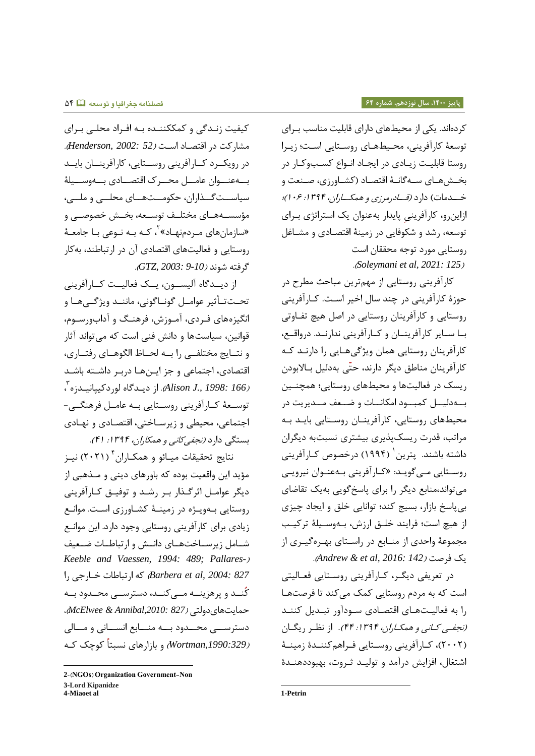کردهاند. یکی از محیطهای دارای قابلیت مناسب بـرای توسعۀ کارآفرینی، محیطهای روستایی است؛ زیـرا روستا قابلیت زیادی در ایجاد انـواع کسـبوکـار در بخشهای سهگانـهٔ اقتصـاد (کشـاورزی، صـنعت و خــدمات) دارد *(قــادرمرزي و همکــاران، ۱۳۹۴: ۰۶)؛* ازاینِ رو، کارآفرینی پایدار بهعنوان یک استراتژی بـرای توسعه، رشد و شکوفایی در زمینۀ اقتصادی و مشـاغل روستایی مررر ترج، محققان است .) *Soleymani et al, 2021: 125*(

کارآفرینی روستایی از مهمترین مباحث مطرح در حوزۀ کارآفرینی در چند سال اخیر است. کـارآفرینی روستایی و کارآفرینان روستایی در اصل هیچ تفـاوتی بـا سـایر کارآفرینـان و کـارآفرینی ندارنـد. درواقـع، کارآفرینان روستایی همان ویژگی هـایی را دارنـد کـه کارآفرینان مناطق دیگر دارند، حتّی بهدلیل بـالابودن ریسک در فعالیتها و محیطهای روستایی؛ همچنـین بهدلیسل کمبسود امکانسات و ضبعف مسدیریت در محیطهای روستایی، کارآفرینیان روستایی باید به مراتب، قدرت ریسکپذیری بیشتری نسبتبه دیگران داشته باشند. پترین <sup>(</sup> (۱۹۹۴) درخصوص کـارآفرینی روستایی مـی¢ویـد: «کـارآفرینی بـهعنـوان نیرویـی می تواند،منابع دیگر را برای پاسخ گویی بهیک تقاضای بی پاسخ بازار، بسیج کند؛ توانایی خلق و ایجاد چیزی از هیچ است؛ فرایند خلـق ارزش، بـهوسـیلۀ ترکیـب مجموعۀ واحدی از منــابع در راسـتای بهـرهگیــری از .) *Andrew & et al, 2016: 142*( فرصت یک

در تعریفی دیگ ، کـارآفرینی روسـتایی فعـالیتی است که به مردم روستایی کمک میکند تا فرصتها را به فعالیتهای اقتصادی سودآور تبدیل کنند *(نجفبی کـانی و همکـاران، ۱۳۹۴: ۴۴).* از نظـر ریگـان (۲۰۰۲)، کـارآفرینی روسـتایی فـراهم کننــدۀ زمینــۀ اشتغال، افزایش درآمد و تولیـد ثـروت، بهبوددهنـدۀ

کیفیت زنـدگی و کمککننـده بـه افـراد محلـی بـرای مشارکت رر ارتصوار اسوت )*52 2002: ,Henderson*) . در رویک رد کے ارآفرینی روستایی، کارآفرینسان بایب بهعنووان عامل محرر ک اقتصــادی بــهوســيلۀ سیاست گـذاران، حکومــتهـای محلــی و ملــی، مؤسســههــای مختلــف توســعه، بخــش خصوصــی و «سازمانهای مـردمنهـاد» <sup>۲</sup>، کـه بـه نـوعی بـا جامعـهٔ روستایی و فعالیتهای اقتصادی آن در ارتباطند، به کار گرفته شوند *(10-9 :GTZ, 2003*).

از دیــدگاه آلیســون، یــک فعالیــت کــارآفرینی تحـتتأثیر عوامـل گونـاگونی، ماننـد ویژگـیهـا و انگیزههای فـردی، آمـوزش، فرهنـگ و آدابورسـوم، قوانین، سیاست ها و دانش فنی است که می تواند آثار و نتسایج مختلفی را بسه لحساظ الگوهسای رفتساری، اقتصادی، اجتماعی و جز ایـنهـا دربـر داشــته باشـد )*166 1998: .,J Alison*) . از ریودگاه لرررکیپاایودزه 8 توسعۀ کـارآفرینی روسـتایی بـه عامــل فرهنگــی-اجتماعی، محیطی و زیرساختی، اقتصادی و نهـادی بستگی دارد *(نجفی کانی و همکاران، ۱۳۹۴: ۴۱).* 

نتایج تحقیقات میـائو و همکـاران <sup>۲</sup> (۲۰۲۱) نیــز مؤید این واقعیت بوده که باورهای دینی و مـذهبی از دیگر عوامـل اثرگـذار بـر رشـد و توفیـق کـارآفرینی روستایی بهویـژه در زمینـهٔ کشـاورزی اسـت. موانـع زیادی برای کارآفرینی روستایی وجود دارد. این موانع شامل زیرساختهای دانـش و ارتباطـات ضـعیف *Keeble and Vaessen, 1994: 489; Pallares-) 827 2004: ,al et Barbera* )ک، ارتباطات توارجی را کُنــد و پرهزينــه مــىکنــد، دسترســى محــدود بــه امایت اا رولتی )*827 ,2010:Annibal & McElwee* ) دسترســی محــدود بــه منـــابع انســـانی و مـــالی )*,1990:329Wortman* ) و ً بازاراا اسبتاً کرچک کو،

l

1

 $2-(NGOs)$  Organization Government-Non **3-Lord Kipanidze 4-Miaoet al**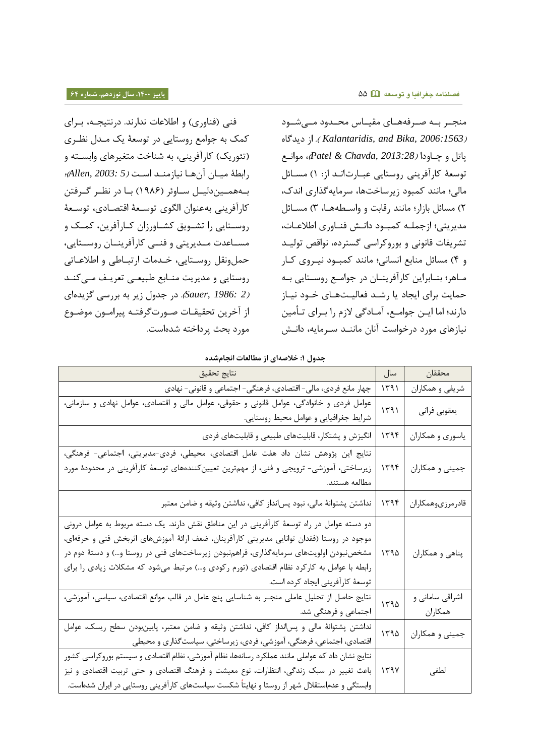فنی (فناوری) و اطلاعات ندارند. درنتیجه، بـرای کمک به جوامع روستایی در توسعۀ یک مـدل نظـری (تئوریک) کارآفرینی، به شناخت متغیرهای وابسـته و رابطۀ میان آن ها نیازمند است *(Allen, 2003: 5*)؛ بــههمــیندلیــل ســاوئر (۱۹۸۶) بــا در نظــر گــرفتن كارآفريني به عنوان الگوى توسـعهٔ اقتصـادى، توسـعهٔ روسـتایی را تشـویق کشـاورزان کـارآفرین، کمـک و مسـاعدت مــدیریتی و فنــی کارآفرینــان روســتایی، حمل ونقل روستایی، خـدمات ارتبـاطی و اطلاعـاتی روستایی و مدیریت منـابع طبیعـی تعریـف مـی کنـد 2 .Sauer, 1986: در جدول زیر به بررسی گزیدهای از آخرین تحقیقـات صـورت $\xi$ رفتـه پیرامـون موضـوع مررر بحث پرراتت، ده است.

منجـر بـه صـرفههـای مقیـاس محـدود مـیشـود ریدگاه از . (*Kalantaridis, and Bika, 2006:1563*( پات و چواورا )*2013:28 ,Chavda & Patel* )مر ااوع توسعۀ کارآفرینی روستایی عبـارت|نـد از: ١) مسـائل مالی؛ مانند کمبود زیرساختها، سرمایه گذاری اندک، ۲) مسائل بازار؛ مانند رقابت و واسطهها، ۳) مسـائل مدیریتی؛ ازجملـه کمبـود دانـش فنـاوري اطلاعـات، تشریفات قانونی و بوروکراسی گسترده، نواقص تولیـد و ۴) مسائل منابع انسانی؛ مانند کمبود نیروی کار مـاهر؛ بنـابراین کارآفرینـان در جوامـع روسـتایی بـه حمایت برای ایجاد یا رشـد فعالیـتهـای خـود نیـاز دارند؛ اما ایـن جوامـع، آمـادگی لازم را بـرای تـأمین نیازهای مورد درخواست آنان ماننـد سـرمایه، دانـش

**جدول :0 خالصهای از مطالعات انجامشده**

| <u>, جوړن ۱۰ مخکسی از سه محمد مر</u> د است                                                                                                                                                                                                                                                                                                                                                                          |      |                            |
|---------------------------------------------------------------------------------------------------------------------------------------------------------------------------------------------------------------------------------------------------------------------------------------------------------------------------------------------------------------------------------------------------------------------|------|----------------------------|
| نتايج تحقيق                                                                                                                                                                                                                                                                                                                                                                                                         | سال  | محققان                     |
| چهار مانع فردی، مالی- اقتصادی، فرهنگی- اجتماعی و قانونی- نهادی                                                                                                                                                                                                                                                                                                                                                      | ۱۳۹۱ | شریفی و همکاران            |
| عوامل فردی و خانوادگی، عوامل قانونی و حقوقی، عوامل مالی و اقتصادی، عوامل نهادی و سازمانی،<br>شرايط جغرافيايي و عوامل محيط روستايي.                                                                                                                                                                                                                                                                                  | 1491 | يعقوبي فراني               |
| انگیزش و پشتکار، قابلیتهای طبیعی و قابلیتهای فردی                                                                                                                                                                                                                                                                                                                                                                   | ۱۳۹۴ | ياسوري و همكاران           |
| نتايج اين پژوهش نشان داد هفت عامل اقتصادى، محيطى، فردى-مديريتى، اجتماعى- فرهنگى،<br>زیرساختی، آموزشی- ترویجی و فنی، از مهمترین تعیینکنندههای توسعهٔ کارآفرینی در محدودهٔ مورد<br>مطالعه هستند.                                                                                                                                                                                                                      | ۱۳۹۴ | جمینی و همکاران            |
| نداشتن پشتوانهٔ مالی، نبود پسانداز کافی، نداشتن وثیقه و ضامن معتبر                                                                                                                                                                                                                                                                                                                                                  | ۱۳۹۴ | قادرمرزىوهمكاران           |
| دو دسته عوامل در راه توسعهٔ کارآفرینی در این مناطق نقش دارند. یک دسته مربوط به عوامل درونی<br>موجود در روستا (فقدان توانایی مدیریتی کارآفرینان، ضعف ارائهٔ آموزشهای اثربخش فنی و حرفهای،<br>مشخصنبودن اولویتهای سرمایهگذاری، فراهمنبودن زیرساختهای فنی در روستا و…) و دستهٔ دوم در<br>رابطه با عوامل به کارکرد نظام اقتصادی (تورم رکودی و…) مرتبط میشود که مشکلات زیادی را برای<br>توسعهٔ کارآفرینی ایجاد کرده است. | ۱۳۹۵ | پناهي و همكاران            |
| نتایج حاصل از تحلیل عاملی منجـر به شناسایی پنج عامل در قالب موانع اقتصادی، سیاسی، آموزشی،<br>اجتماعی و فرهنگی شد.                                                                                                                                                                                                                                                                                                   | 1490 | اشراقی سامانی و<br>همكاران |
| نداشتن پشتوانهٔ مالی و پسانداز کافی، نداشتن وثیقه و ضامن معتبر، پایینبودن سطح ریسک، عوامل<br>اقتصادی، اجتماعی، فرهنگی، آموزشی، فردی، زیرساختی، سیاست گذاری و محیطی                                                                                                                                                                                                                                                  | 140  | جمینی و همکاران            |
| نتايج نشان داد كه عواملي مانند عملكرد رسانهها، نظام آموزشي، نظام اقتصادي و سيستم بوروكراسي كشور<br>باعث تغییر در سبک زندگی، انتظارات، نوع معیشت و فرهنگ اقتصادی و حتی تربیت اقتصادی و نیز<br>وابستگی و عدماستقلال شهر از روستا و نهایتاً شکست سیاستهای کارآفرینی روستایی در ایران شدهاست.                                                                                                                           | 1494 | لطفى                       |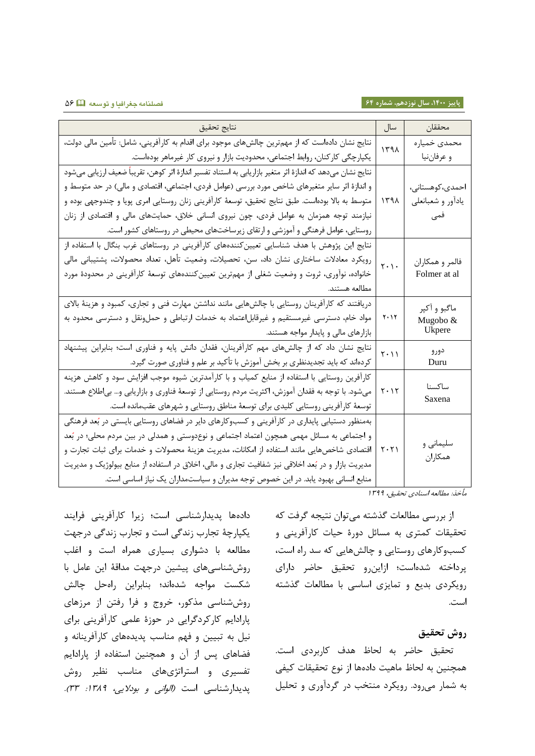**پاییز ،0011 سال نوزدهم، شماره 60 فصلنامه جغرافیا و توسعه** 44

| نتايج تحقيق                                                                                                  | سال                             | محققان            |
|--------------------------------------------------------------------------------------------------------------|---------------------------------|-------------------|
| نتایج نشان دادهاست که از مهمترین چالشهای موجود برای اقدام به کارآفرینی، شامل: تأمین مالی دولت،               | ١٣٩٨                            | محمدي خمياره      |
| یکپارچگی کارکنان، روابط اجتماعی، محدودیت بازار و نیروی کار غیرماهر بودهاست.                                  |                                 | و عرفاننيا        |
| نتايج نشان ميدهد كه اندازهٔ اثر متغير بازاريابي به استناد تفسير اندازهٔ اثر كوهن، تقريباً ضعيف ارزيابي ميشود |                                 |                   |
| و اندازهٔ اثر سایر متغیرهای شاخص مورد بررسی (عوامل فردی، اجتماعی، اقتصادی و مالی) در حد متوسط و              |                                 | احمدى،كوهستانى،   |
| متوسط به بالا بودهاست. طبق نتایج تحقیق، توسعهٔ کارآفرینی زنان روستایی امری پویا و چندوجهی بوده و             | ۱۳۹۸                            | يادأور و شعبانعلي |
| نیازمند توجه همزمان به عوامل فردی، چون نیروی انسانی خلاق، حمایتهای مالی و اقتصادی از زنان                    |                                 | فمی               |
| روستایی، عوامل فرهنگی و آموزشی و ارتقای زیرساختهای محیطی در روستاهای کشور است.                               |                                 |                   |
| نتایج این پژوهش با هدف شناسایی تعیینکنندههای کارآفرینی در روستاهای غرب بنگال با استفاده از                   |                                 |                   |
| رويكرد معادلات ساختارى نشان داد، سن، تحصيلات، وضعيت تأهل، تعداد محصولات، پشتيبانى مالى                       | $\mathbf{r} \cdot \mathbf{r}$   | فالمر و همكاران   |
| خانواده، نوآوری، ثروت و وضعیت شغلی از مهمترین تعیینکنندههای توسعهٔ کارآفرینی در محدودهٔ مورد                 |                                 | Folmer at al      |
| مطالعه هستند.                                                                                                |                                 |                   |
| دریافتند که کارآفرینان روستایی با چالشهایی مانند نداشتن مهارت فنی و تجاری، کمبود و هزینهٔ بالای              |                                 | ماگبو و آکپر      |
| مواد خام، دسترسی غیرمستقیم و غیرقابل عتماد به خدمات ارتباطی و حملونقل و دسترسی محدود به                      | ۲۰۱۲                            | Mugobo &          |
| بازارهای مالی و پایدار مواجه هستند.                                                                          |                                 | Ukpere            |
| نتایج نشان داد که از چالشهای مهم کارآفرینان، فقدان دانش پایه و فناوری است؛ بنابراین پیشنهاد                  | $\mathsf{r}\cdot\mathsf{l}$     | دورو              |
| کردهاند که باید تجدیدنظری بر بخش آموزش با تأکید بر علم و فناوری صورت گیرد.                                   |                                 | Duru              |
| کارآفرین روستایی با استفاده از منابع کمیاب و با کارآمدترین شیوه موجب افزایش سود و کاهش هزینه                 |                                 |                   |
| میشود. با توجه به فقدان آموزش، اکثریت مردم روستایی از توسعهٔ فناوری و بازاریابی و… بی طلاع هستند.            | $Y \cdot Y$                     | ساكسنا<br>Saxena  |
| توسعهٔ کارآفرینی روستایی کلیدی برای توسعهٔ مناطق روستایی و شهرهای عقبمانده است.                              |                                 |                   |
| بهمنظور دستیابی پایداری در کارآفرینی و کسبوکارهای دایر در فضاهای روستایی بایستی در بُعد فرهنگی               |                                 |                   |
| و اجتماعی به مسائل مهمی همچون اعتماد اجتماعی و نوعدوستی و همدلی در بین مردم محلی؛ در بُعد                    |                                 |                   |
| اقتصادی شاخصهایی مانند استفاده از امکانات، مدیریت هزینهٔ محصولات و خدمات برای ثبات تجارت و                   | $\vert \tau \cdot \tau \rangle$ | سلیمانی و         |
| مدیریت بازار و در بُعد اخلاقی نیز شفافیت تجاری و مالی، اخلاق در استفاده از منابع بیولوژیک و مدیریت           |                                 | همكاران           |
| منابع انسانی بهبود یابد. در این خصوص توجه مدیران و سیاستمداران یک نیاز اساسی است.                            |                                 |                   |

مأخذ: مطالعه اسنادی تحقیق، 1۳۹۹

از بررسی مطالعات گذشته می توان نتیجه گرفت که تحقیقات کمتری به مسائل دورۀ حیات کارآفرینی و کسبوکارهای روستایی و چالشهایی که سد راه است، پرداخته شدهاست؛ ازاین رو تحقیق حاضر دارای رویکردی بدیع و تمایزی اساسی با مطالعات گذشته است.

# **روش تحقیق**

تحقیق حاضر به لحاظ هدف کاربردی است. همچنین به لحاظ ماهیت دادهها از نوع تحقیقات کیفی به شمار میرود. رویکرد منتخب در گردآوری و تحلیل

دادهها پدیدارشناسی است؛ زیرا کارآفرینی فرایند یکپارچۀ تجارب زادگی است و تجارب زادگی ررجهت مطالعه با دشواری بسیاری همراه است و اغلب روش شناسی های پیشین درجهت مداقۀ این عامل با شکست مواجه شدهاند؛ بنابراین راهحل چالش روش شناسی مذکور، خروج و فرا رفتن از مرزهای پارادایم کارکردگرایی در حوزۀ علمی کارآفرینی برای نیل به تبیین و فهم مناسب پدیدههای کارآفرینانه و فضاهای پس از آن و همچنین استفاده از پارادایم تفسیری و استراتژیهای مناسب نظیر روش پدیدارشناسی است *(الوانی و بودلایی، ۱۳۸۹: ۳۳).*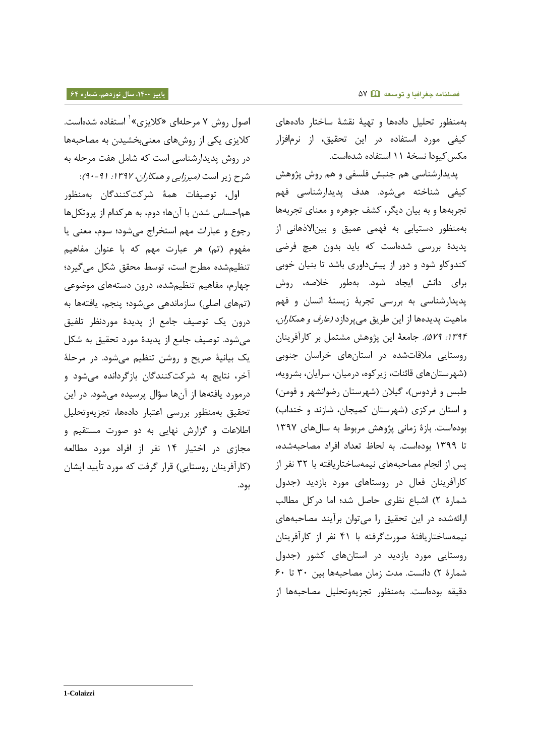بهمنظور تحلیل دادهها و تهیۀ نقشۀ ساختار دادههای کیفی مورد استفاده در این تحقیق، از نرمافزار مکس کیودا نسخۀ ١١ استفاده شدهاست.

پدیدارشناسی هم جنبش فلسفی و هم روش پژوهش کیفی شناخته میشود. هدف پدیدارشناسی فهم تجربهها و به بیان دیگر، کشف جوهره و معنای تجربهها بهمنظور دستیابی به فهمی عمیق و بین الاذهانی از پدیدۀ بررسی شدهاست که باید بدون هیچ فرضی کندوکاو شود و دور از پیشداوری باشد تا بنیان خوبی برای دانش ایجاد شود. بهطور خلاصه، روش پدیدار ناسی ب، بررسی تجربۀ زیستۀ ااسان و فهم ماهیت پدیدهها از این طریق میپردازد *(عارف و همکاران،* ١٣٩۴: ٥٢٩). جامعۀ این پژوهش مشتمل بر کارآفرینان روستایی ملاقاتشده در استانهای خراسان جنوبی (شهرستانهای قائنات، زیرکوه، درمیان، سرایان، بشرویه، طبس و فردوس)، گیلان (شهرستان رضوانشهر و فومن) و استان مرکزی (شهرستان کمیجان، شازند و خنداب) بودهاست. بازۀ زمانی پژوهش مربوط به سالهای ۱۳۹۷ تا ۱۳۹۹ بودهاست. به لحاظ تعداد افراد مصاحبهشده، پس از انجام مصاحبههای نیمهساختاریافته با ۳۲ نفر از کارآفرینان فعال در روستاهای مورد بازدید (جدول شمارۀ ٢) اشباع نظري حاصل شد؛ اما دركل مطالب ارائهشده در این تحقیق را میتوان برآیند مصاحبههای ایم،ساتتاریافتۀ صررتگرفت، با 55 افر از کارآفرینان روستایی مورد بازدید در استانهای کشور (جدول شمارۀ ٢) دانست. مدت زمان مصاحبهها بین ٣٠ تا ۶۰ دقیقه بودهاست. بهمنظور تجزیهوتحلیل مصاحبهها از

اصول روش ۷ مرحلهای «کلایزی» ٰ استفاده شدهاست. کلایزی یکی از روشهای معنیبخشیدن به مصاحبهها در روش پدیدار شناسی است که شامل هفت مرحله به شرح زیر است *(میرزایی و همکاران، ۱۳۹۷: ۹۱-۹۰)*:

اول، توصیفات همۀ شرکتکنندگان بهمنظور هماحساس شدن با آنها؛ دوم، به هرکدام از پروتکلها رجوع و عبارات مهم استخراج می شود؛ سوم، معنی یا مفهوم (تم) هر عبارت مهم که با عنوان مفاهیم تنظیم شده مطرح است، توسط محقق شکل میگیرد؛ چهارم، مفاهیم تنظیم شده، درون دستههای موضوعی (تمهای اصلی) سازماندهی می شود؛ پنجم، یافتهها به درون یک توصیف جامع از پدیدۀ موردنظر تلفیق میشود. توصیف جامع از پدیدۀ مورد تحقیق به شکل یک بیانیۀ صریح و روشن تنظیم میشود. در مرحلۀ آخر، نتایج به شرکتکنندگان بازگردانده می شود و درمورد یافتهها از آنها سؤال پرسیده میشود. در این تحقیق بهمنظور بررسی اعتبار دادهها، تجزیهوتحلیل اطلاعات و گزارش نهایی به دو صورت مستقیم و مجازی در اختیار ۱۴ نفر از افراد مورد مطالعه (کارآفرینان روستایی) قرار گرفت که مورد تأیید ایشان برر.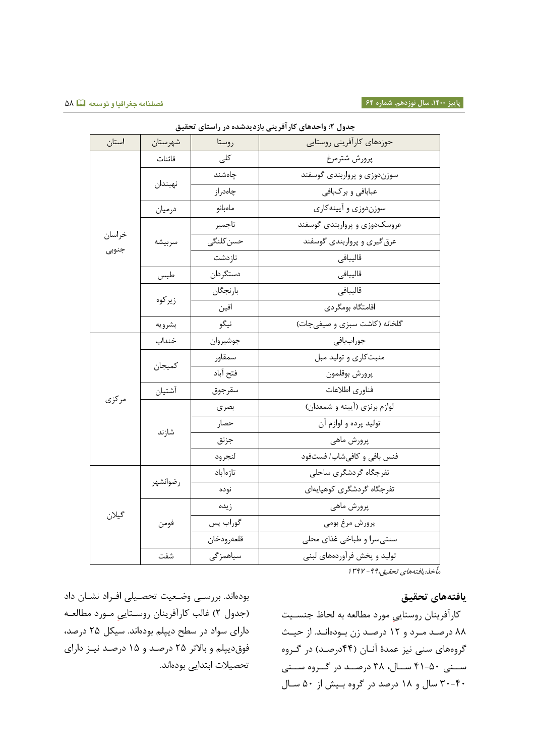| جدول ۲: واحدهای کار افرینی بازدیدشده در راستای تحقیق |                  |            |                              |  |
|------------------------------------------------------|------------------|------------|------------------------------|--|
| استان                                                | شهرستان          | روستا      | حوزههای کارآفرینی روستایی    |  |
| خراسان<br>جنوبي                                      | قائنات           | کلی        | پرورش شترمرغ                 |  |
|                                                      |                  | چاەشند     | سوزندوزی و پرواربندی گوسفند  |  |
|                                                      | نهبندان          | چاەدراز    | عبابافي و بركبافي            |  |
|                                                      | درميان           | ماەبانو    | سوزندوزي و آيينه كاري        |  |
|                                                      | سربيشه           | تاجمير     | عروسکدوزی و پرواربندی گوسفند |  |
|                                                      |                  | حسن كلنگى  | عرق گیری و پرواربندی گوسفند  |  |
|                                                      |                  | نازدشت     | قاليبافي                     |  |
|                                                      | طبس              | دستگردان   | قاليبافي                     |  |
|                                                      | زيركوه<br>بشرويه | بارنجگان   | قاليبافي                     |  |
|                                                      |                  | افين       | اقامتگاه بومگردى             |  |
|                                                      |                  | نيگو       | گلخانه (كاشت سبزى و صيفىجات) |  |
|                                                      | خنداب            | جوشيروان   | جوراببافي                    |  |
|                                                      | كميجان           | سمقاور     | منبت کاری و تولید مبل        |  |
|                                                      |                  | فتح آباد   | پرورش بوقلمون                |  |
| مرکزی                                                | آشتيان           | سقرجوق     | فناورى اطلاعات               |  |
|                                                      | شازند            | بصرى       | لوازم برنزي (أيينه و شمعدان) |  |
|                                                      |                  | حصار       | توليد پرده و لوازم آن        |  |
|                                                      |                  | جزنق       | پرورش ماهي                   |  |
|                                                      |                  | لنجرود     | فنس بافي و كافي شاپ/ فستفود  |  |
|                                                      | رضوانشهر         | تازەآباد   | تفرجگاه گردشگری ساحلی        |  |
|                                                      |                  | نوده       | تفرجگاه گردشگری کوهپایهای    |  |
|                                                      |                  | زيده       | پرورش ماهي                   |  |
| گيلان                                                | فومن             | گوراب پس   | پرورش مرغ بومي               |  |
|                                                      |                  | قلعەرودخان | سنتی سرا و طباخی غذای محلی   |  |
|                                                      | شفت              | سياهمزگى   | تولید و پخش فرآوردههای لبنی  |  |
|                                                      |                  |            |                              |  |

**جدول :2 واحدهای کارآفرینی بازدیدشده در راستای تحقیق**

مأخذ:یافتههای تحقیق ۹۹. - ۱۳۹۷

# **یافتههای تحقیق**

کارآفرینان روستایی مورد مطالعه به لحاظ جنسـیت ۸۸ درصد مـرد و ۱۲ درصـد زن بـودهانـد. از حیـث گروههای سنی نیز عمدهٔ آنـان (۴۴درصـد) در گـروه سـنی ۵۰-۴۱ سـال، ۳۸ درصـد در گــروه سـنی ۴۰-۴۰ سال و ۱۸ درصد در گروه بیش از ۵۰ سال

بودهاند. بررسی وضعیت تحصیلی افـراد نشـان داد (جدول ۲) غالب کارآفرینان روستایی مورد مطالعه دارای سواد در سطح دیپلم بودهاند. سیکل ۲۵ درصد، فوق دیپلم و بالاتر ٢۵ درصد و ١۵ درصد نیـز دارای تحصیالت ابتدایی بررهااد.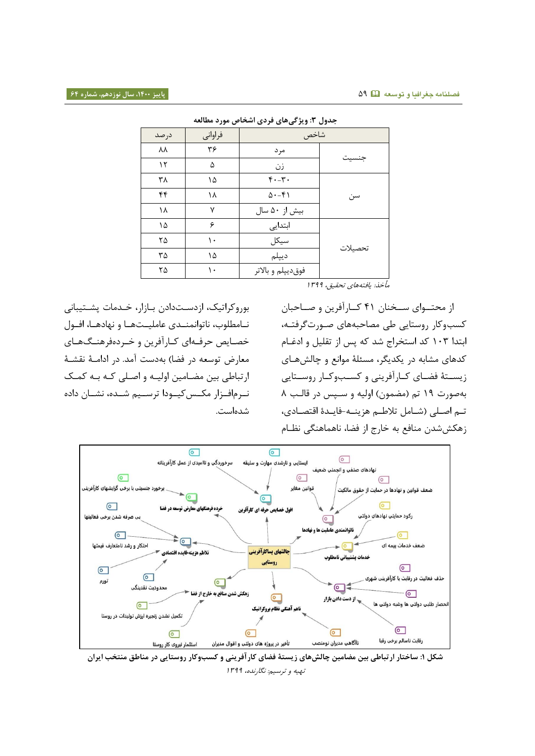| جدول ۳: ویژگیهای فردی اشخاص مورد مطالعه |         |                    |         |  |
|-----------------------------------------|---------|--------------------|---------|--|
| در صد                                   | فراواني | شاخص               |         |  |
| λV                                      | ۳۶      | مر د               |         |  |
| ۱٢                                      | ۵       | زن                 | جنسيت   |  |
| ٣٨                                      | ۱۵      | $f(-\tau)$         |         |  |
| ۴۴                                      | ۱۸      | $\Delta - f$       | سن      |  |
| ۱۸                                      | ٧       | بیش از ۵۰ سال      |         |  |
| ۱۵                                      | ۶       | ابتدایی            |         |  |
| ۲۵                                      | ۱۰      | سيكل               | تحصيلات |  |
| ۳۵                                      | ۱۵      | ديپلم              |         |  |
| ۲۵                                      | ۱۰      | فوق ديپلم و بالاتر |         |  |

مأخذ: یافتههای تحقیق، 1۳۹۹

بوروکراتیک، ازدستدادن بازار، خـدمات پشـتیبانی نـامطلوب، ناتوانمنــدى عامليــتهــا و نهادهــا، افــول خصایص حرفهای کـارآفرین و خـردهفرهنـگهـای معارض توسعه در فضا) بهدست آمد. در ادامــهٔ نقشــهٔ ارتباطی بین مضامین اولیـه و اصـلی کـه بـه کمـک نـرمافـزار مکـس کیـودا ترسـیم شـده، نشـان داده دهاست.

از محتـوای سـخنان ۴۱ کـارآفرین و صـاحبان کسبوکار روستایی طی مصاحبههای صـورت گرفتـه، ابتدا ۱۰۳ کد استخراج شد که پس از تقلیل و ادغـام کدهای مشابه در یکدیگر، مسئلۀ موانع و چالشهـای زیسـتۀ فضـای کــارآفرینی و کســبوکــار روســتایی بهصورت ۱۹ تم (مضمون) اولیه و سـپس در قالـب ۸ تـم اصـلی (شـامل تلاطـم هزينــه-فايـدۀ اقتصـادی، زهکش شدن منافع به خارج از فضا، ناهماهنگی نظـام



**شکل :0 ساختار ارتباطی بین مضامین چالشهای زیستۀ فضای کارآفرینی و کسبوکار روستایی در مناطق منتخب ایران** تهیه و ترسیم: نگارنده، 1۳۹۹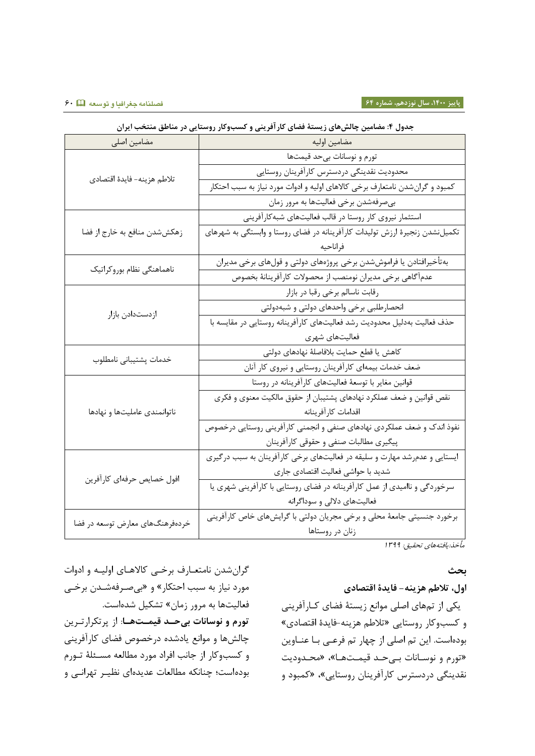|                                 | ج-رن ۱۰ سه سین په سن می ریاست معمول مراجزیعی را مسجر مراز روستایی مراجع می شده می شده می |  |  |
|---------------------------------|------------------------------------------------------------------------------------------|--|--|
| مضامین اصلی                     | مضامين اوليه                                                                             |  |  |
| تلاطم هزينه- فايدة اقتصادي      | تورم و نوسانات بیحد قیمتها                                                               |  |  |
|                                 | محدوديت نقدينگي دردسترس كارأفرينان روستايي                                               |  |  |
|                                 | کمبود و گرانشدن نامتعارف برخی کالاهای اولیه و ادوات مورد نیاز به سبب احتکار              |  |  |
|                                 | بيصرفهشدن برخي فعاليتها به مرور زمان                                                     |  |  |
|                                 | استثمار نیروی کار روستا در قالب فعالیتهای شبهکارآفرینی                                   |  |  |
| زهکششدن منافع به خارج از فضا    | تکمیلنشدن زنجیرهٔ ارزش تولیدات کارآفرینانه در فضای روستا و وابستگی به شهرهای             |  |  |
|                                 | فراناحيه                                                                                 |  |  |
| ناهماهنگى نظام بوروكراتيك       | بهتأخيرافتادن يا فراموششدن برخى پروژههاى دولتى و قولهاى برخى مديران                      |  |  |
|                                 | عدمأگاهي برخي مديران نومنصب از محصولات كارأفرينانهٔ بخصوص                                |  |  |
|                                 | رقابت ناسالم برخي رقبا در بازار                                                          |  |  |
|                                 | انحصارطلبي برخي واحدهاى دولتي و شبهدولتي                                                 |  |  |
| ازدستدادن بازار                 | حذف فعالیت بهدلیل محدودیت رشد فعالیتهای کارآفرینانه روستایی در مقایسه با                 |  |  |
|                                 | فعالیتهای شهری                                                                           |  |  |
| خدمات پشتيباني نامطلوب          | كاهش يا قطع حمايت بلافاصلهٔ نهادهاى دولتى                                                |  |  |
|                                 | ضعف خدمات بیمهای کارآفرینان روستایی و نیروی کار آنان                                     |  |  |
|                                 | قوانین مغایر با توسعهٔ فعالیتهای کارآفرینانه در روستا                                    |  |  |
|                                 | نقص قوانین و ضعف عملکرد نهادهای پشتیبان از حقوق مالکیت معنوی و فکری                      |  |  |
| ناتوانمندى عامليتها و نهادها    | اقدامات كارآفرينانه                                                                      |  |  |
|                                 | نفوذ اندک و ضعف عملکردی نهادهای صنفی و انجمنی کارآفرینی روستایی درخصوص                   |  |  |
|                                 | پیگیری مطالبات صنفی و حقوقی کارآفرینان                                                   |  |  |
| افول خصايص حرفهاي كارآفرين      | ایستایی و عدمرشد مهارت و سلیقه در فعالیتهای برخی کارآفرینان به سبب درگیری                |  |  |
|                                 | شدید با حواشی فعالیت اقتصادی جاری                                                        |  |  |
|                                 | سرخوردگی و ناامیدی از عمل کارآفرینانه در فضای روستایی با کارآفرینی شهری یا               |  |  |
|                                 | فعالیتهای دلالی و سوداگرانه                                                              |  |  |
| خردهفرهنگهای معارض توسعه در فضا | برخورد جنسیتی جامعهٔ محلی و برخی مجریان دولتی با گرایشهای خاص کارآفرینی                  |  |  |
|                                 | زنان در روستاها                                                                          |  |  |

# **جدول :4 مضامین چالشهای زیستۀ فضای کارآفرینی و کسبوکار روستایی در مناطق منتخب ایران**

مأخذ:یافتههای تحقیق: 1۳۹۹

### **بحث**

# **اول، تالطم هزینه- فایدۀ اقتصادی**

یکی از تمهای اصلی موانع زیستۀ فضای کـارآفرینی و کسبوکار روستایی «تلاطم هزینه-فایدۀ اقتصادی» بودهاست. این تم اصلی از چهار تم فرعـی بـا عنــاوین «تورم و نوسـانات بـیحـد قیمـتهـا»، «محـدودیت نقدینگی دردسترس کارآفرینان روستایی»، «کمبود و

گران شدن نامتعـارف برخـی کالاهـای اولیـه و ادوات مورد نیاز به سبب احتکار» و «بیصرفهشـدن برخـی فعالیتها به مرور زمان» تشکیل شدهاست. تورم و نوسانات بیحد قیمتها: از پرتکرارترین چالشها و موانع یادشده درخصوص فضای کارآفرینی و کسبوکار از جانب افراد مورد مطالعه مسـئلۀ تـورم بودهاست؛ چنانکه مطالعات عدیدهای نظیـر تهرانـی و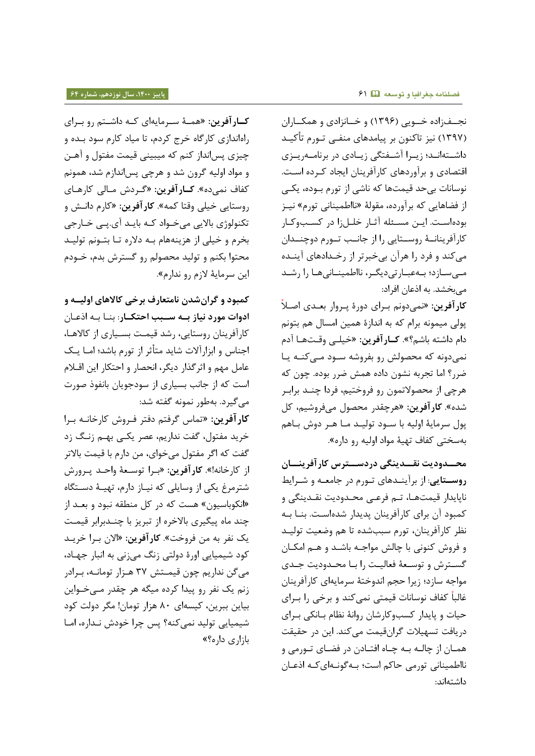نجهازاده خویی (۱۳۹۶) و خانزادی و همکاران (۱۳۹۷) نیز تاکنون بر پیامدهای منفـی تـورم تأکیـد داشـتهانـد؛ زیـرا آشـفتگی زیـادی در برنامــهریــزی اقتصادی و برآوردهای کارآفرینان ایجاد کـرده اسـت. نوسانات بی حد قیمتها که ناشی از تورم بوده، یکبی از فضاهایی که برآورده، مقولۀ «نااطمینانی تورم» نیـز بودهاست. ایـن مسـئله آثـار خلـل;ا در کسـبوکـار کارآفرینانـهٔ روسـتایی را از جانـب تـورم دوچنـدان میکند و فرد را هرآن بیخبرتر از رخـدادهای آینــده مهیسازد؛ به عبارتی دیگر، نااطمینانی ها را رشد میبخشد. به اذعان افراد:

ک**ارآفرین**: «نمیدونم بـرای دورۀ پـروار بعـدی اصـلاً پولی میمونه برام که به اندازۀ همین امسال هم بتونم دام داشته باشم؟». **کـار آفرین**: «خیلـی وقـتهـا آدم نمیدونه که محصولش رو بفروشه سـود مـیکنـه یـا ضرر؟ اما تجربه نشون داده همش ضرر بوده. چون که هرچی از محصولاتمون رو فروختیم، فردا چنـد برابـر شده». **کارآفرین**: «هرچقدر محصول میفروشیم، کل پول سرمایۀ اولیه با سـود تولیـد مـا هـر دوش بـاهم بهسختی کفاف تهیهٔ مواد اولیه <sub>ر</sub>و داره».

**محوودودیت نقوودینگی دردسووترس کارآفرینووان روستایی**: از برآیندهای تورم در جامعه و شـرایط ناپایدار قیمتهـا، تـم فرعـی محـدودیت نقـدینگی و کمبود آن برای کارآفرینان پدیدار شدهاست. بنا به نظر کارآفرینان، تورم سببشده تا هم وضعیت تولید و فروش کنرای با چالش مراجو، با ود و اوم امکوان گسترش و توسعۀ فعالیت را با محـدودیت جـدی مواجه سازد؛ زیرا حجم اندوختۀ سرمایهای کارآفرینان غالباً کفاف نوسانات قیمتی نمیکند و برخی را بـرای حیات و پایدار کسبوکارشان روانۀ نظام بـانکی بـرای دریافت تسهیلات گرانقیمت می کند. این در حقیقت همـان از چالـه بـه چـاه افتـادن در فضـای تـورمی و نااطمینانی تورمی حاکم است؛ بـهگونـهایکـه اذعـان داشتهاند:

ک**ارآفرین**: «همـهٔ سـرمایهای کـه داشـتم رو بـرای راهاندازی کارگاه خرج کردم، تا میاد کارم سود بده و چیزی پسانداز کنم که میبینی قیمت مفتول و آهـن و مواد اولیه گرون شد و هرچی پس اندازم شد، همونم کفاف نمیده». **کـارآفرین**: «گـردش مـالی کارهـای روستایی تیلی ورتا کم،«. **کارآفرین:** »کار رااوش و تکنولوژی بالایی میخواد کـه بایـد آی.پـی خـارجی بخرم و خیلی از هزینههام بـه دلاره تـا بتـونم تولیـد محتوا بکنم و تولید محصولم رو گسترش بدم، خـودم این سرمایۀ لازم رو ندارم».

**کمبود و گرانشدن نامتعارف برخی کاالهای اولیوه و**  ا**دوات مورد نیاز بـه سـبب احتکـار**: بنـا بـه اذعـان کارآفرینان روستایی، رشد قیمت بسـیاری از کالاهـا، اجناس و ابزارآلات شاید متأثر از تورم باشد؛ امـا یـک عامل مهم و اثرگذار دیگر، انحصار و احتکار این اقـلام است که از جانب بسیاری از سودجویان بانفوذ صورت میگیرد. بهطور نمونه گفته شد:

کار آفرین: «تماس گرفتم دفتر فـروش کارخانـه بـرا خرید مفتول، گفت نداریم، عصر یکسی بهسم زنگ زد گفت که اگر مفتول میخوای، من دارم با قیمت بالاتر از کارخانه!». **کارآفرین:** «بـرا توسـعهٔ واحـد پـرورش شترمرغ یکی از وسایلی که نیـاز دارم، تهیـهٔ دسـتگاه «انکوباسیون» هست که در کل منطقه نبود و بعـد از چند ماه پیگیری بالاخره از تبریز با چنـدبرابر قیمت یک افر ب، م فروتت«. **کارآفرین:** »االن بورا تریود کود شیمیایی اورۀ دولتی زنگ میزنی به انبار جهـاد، میگن نداریم چون قیمتش ۳۷ هـزار تومانـه، بـرادر زنم یک نفر رو پیدا کرده میگه هر چقدر مےخواین بیاین ببرین، کیسهای ۸۰ هزار تومان! مگر دولت کود شیمیایی تولید نمی کنه؟ پس چرا خودش نـداره، امـا بازاری داره؟»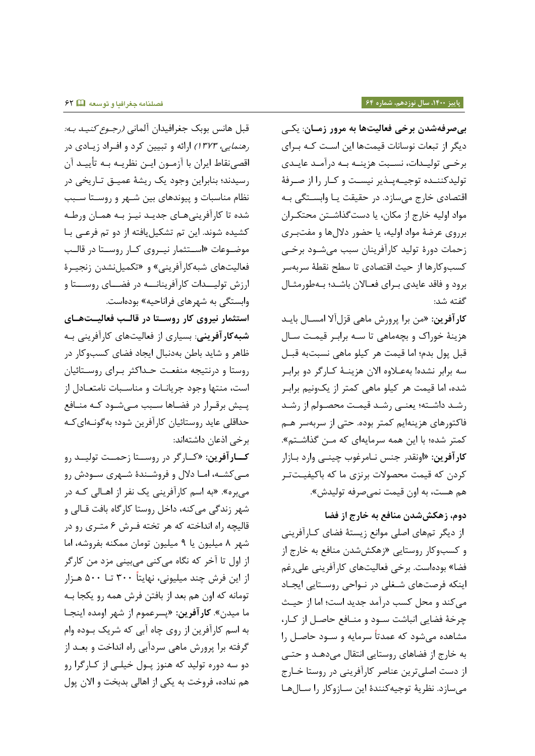**بیصرفهشدن برخی فعالیتها به مرور زموان** : یکوی دیگر از تبعات نوسانات قیمتها این است کـه بـرای برخـی تولیـدات، نسـبت هزینــه بــه درآمــد عایــدی تولیدکننده توجیهپذیر نیست و کار را از صرفۀ اقتصادی خارج می سازد. در حقیقت یـا وابسـتگی بـه مواد اولیه خارج از مکان، یا دستگذاشتن محتکران برروی عرضۀ مواد اولیه، یا حضور دلال ها و مفتبـری زحمات دورۀ تولید کارآفرینان سبب میشـود برخـی کسبوکارها از حیث اقتصادی تا سطح نقطۀ سربهسر برود و فاقد عایدی بـرای فعـالان باشـد؛ بـهطورمثـال گفته شد:

کارآفرین: «من برا پرورش ماهی قزل آلا امســال بایــد هزینۀ خوراک و بچهماهی تا سـه برابـر قیمـت سـال قبل پول بدم؛ اما قیمت هر کیلو ماهی نسبتبه قبـل سه برابر نشده! بهعـلاوه الان هزینــهٔ کــارگر دو برابـر شده، اما قیمت هر کیلو ماهی کمتر از یکونیم برابـر رشد داشته؛ یعنی رشد قیمت محصولم از رشد فاکتورهای هزینهایم کمتر بوده. حتی از سربهسر هـم کمتر شده؛ با این همه سرمایهای که مـن گذاشـتم». <mark>کارآفرین: «</mark>اونقدر جنس نـامرغوب چینــی وارد بــازار کردن که قیمت محصولات برنزی ما که باکیفیـتتـر هم هست، به اون قیمت نمیصرفه تولیدش».

**دوم، زهکششدن منافع به خارج از فضا**

از دیگر تمهای اصلی موانع زیستۀ فضای کـارآفرینی و کسبوکار روستایی »زاکش دن منافع ب، تارج از فضا» بودهاست. برخی فعالیتهای کارآفرینی علیرغم اینکه فرصتهای شـغلی در نـواحی روسـتایی ایجـاد میکند و محل کسب درآمد جدید است؛ اما از حیث چرخۀ فضایی انباشت سـود و منـافع حاصـل از کـار، مشاهده می شود که عمدتاً سرمایه و سـود حاصـل را به خارج از فضاهای روستایی انتقال میدهـد و حتـی از دست اصلی ترین عناصر کارآفرینی در روستا خـارج میسازد. نظریۀ توجیهکنندۀ این سازوکار را سالها

قبل هانس بوبک جغرافیدان آلمانی *(رجـوع کنیـد بـه:* ر*هنمایی، ۱۳۷۳)* ارائه و تبیین کرد و افـراد زیـادی در اقصینقاط ایران با آزمـون ایـن نظریـه بـه تأییـد آن رسیدند؛ بنابراین وجود یک ریشۀ عمیـق تـاریخی در نظام مناسبات و پیوندهای بین شـهر و روسـتا سـبب شده تا کارآفرینیهای جدید نیـز بـه همـان ورطـه کشیده شوند. این تم تشکیل یافته از دو تم فرعے با موضـوعات «اسـتثمار نیـروی کـار روسـتا در قالـب فعالیتهای شبه کارآفرینی» و «تکمیلنشدن زنجیرهٔ ارزش تولیـــدات کارآفرینانـــه در فضـــای روســـتا و وابستگی به شهرهای فراناحیه» بودهاست.

**استثمار نیروی کار روسوتا در قالوب فعالیوت هوای**  شبه **کار آفرینی**: بسیاری از فعالیتهای کارآفرینی بـه ظاهر و شاید باطن بهدنبال ایجاد فضای کسبوکار در روستا و درنتیجه منفعت حـداکثر بـرای روسـتائیان است، منتها وجود جریانات و مناسبات نامتعادل از پیش برقـرار در فضـاها سـبب مـیشـود کـه منـافع حداقلی عاید روستائیان کارآفرین شود؛ بهگونـهایکـه برخی اذعان داشتهاند:

کارآفرین: «کارگر در روستا زحمـت تولیــد رو مـیکشـه، امـا دلال و فروشـندۀ شـهری سـودش رو میبره». «به اسم کارآفرینی یک نفر از اهـالی کـه در شهر زندگی میکنه، داخل روستا کارگاه بافت قـالی و قالیچه راه انداخته که هر تخته فـرش ۶ متـری رو در شهر ۸ میلیون یا ۹ میلیون تومان ممکنه بفروشه، اما از اول تا آخر که نگاه میکنی میبینی مزد من کارگر از این فرش چند میلیونی، نهایتاً ۳۰۰ تــا ۵۰۰ هـزار تومانه که اون هم بعد از بافتن فرش همه رو یکجا بـه ما میدن«. **کارآفرین:** »پسرعمر از هر اومده اینجوا به اسم کارآفرین از روی چاه آبی که شریک بـوده وام گرفته برا پرورش ماهی سردآبی راه انداخت و بعـد از دو سه دوره تولید که هنوز پـول خیلـی از کـارگرا رو هم نداده، فروخت به یکی از اهالی بدبخت و الان پول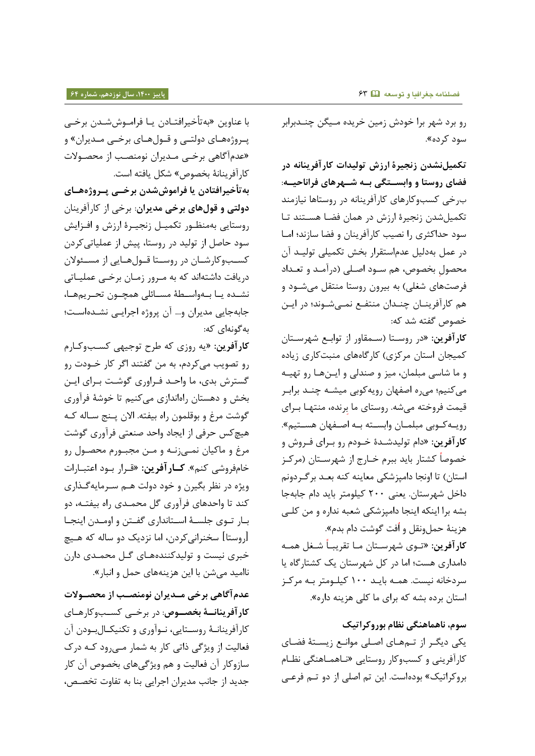رو برد شهر برا خودش زمین خریده مـیگن چنــدبرابر سرر کرره«.

**تکمیلنشدن زنجیرۀ ارزش تولیدات کارآفرینانه در فضای روستا و وابسوتگی بوه شوهرهای فراناحیوه** : ب رخی کسبوکارهای کارآفرینانه در روستاها نیازمند تکمیل شدن زنجیرۀ ارزش در همان فضا هستند تا سود حداکثری را نصیب کارآفرینان و فضا سازند؛ اما در عمل بهدلیل عدم|ستقرار بخش تکمیلی تولیـد آن محصول بخصوص، هم سـود اصـلی (درآمـد و تعـداد فرصتهای شغلی) به بیرون روستا منتقل میشـود و هم کارآفرینــان چنــدان منتفــع نمــیشــوند؛ در ایــن خصوص گفته شد که:

ک**ارآفرین**: «در روستا (سـمقاور از توابـع شهرسـتان کمیجان استان مرکزی) کارگاههای منبتکاری زیاده و ما شاسی مبلمان، میز و صندلی و ایسها رو تهیه میکنیم؛ میره اصفهان رویهکوبی میشـه چنـد برابـر قیمت فروخته می شه. روستای ما برنده، منتهـا بــرای رویه کوبی مبلمان وابسته به اصفهان هستیم». کارآفرین: «دام تولیدشـدهٔ خـودم <sub>ر</sub>و بـرای فـروش و خصوصاً کشتار باید ببرم خــارج از شهرســتان (مرکــز استان) تا اونجا دامپزشکی معاینه کنه بعـد برگردونم داخل شهرستان. یعنی ۲۰۰ کیلومتر باید دام جابهجا بشه برا اینکه اینجا دامپزشکی شعبه نداره و من کلبی هزينۀ حملونقل و اُفت گوشت دام بدم».

<mark>کار آفرین:</mark> «تـوی شهرسـتان مـا تقریبـاً شـغل همـه دامداری هست؛ اما در کل شهرستان یک کشتارگاه یا سردخانه نیست. همـه بایـد ۱۰۰ کیلـومتر بـه مرکـز استان برده بشه که برای ما کلی هزینه داره».

**سوم، ناهماهنگی نظام بوروکراتیک** یکی دیگر از تـمهـای اصـلی موانـع زیسـتۀ فضـای کارآفرینی و کسبوکار روستایی «نـاهمـاهنگی نظـام بروکراتیک» بودهاست. این تم اصلی از دو تـم فرعـی

با عناوین «بهتأخیرافتــادن یــا فرامــوششــدن برخــی پروژههای دولتی و قـولهـای برخـی مـدیران» و «عدمآگاهی برخـی مـدیران نومنصـب از محصـولات کارآفرینانۀ بخصوص» شکل یافته است.

**بهتأخیرافتادن یا فراموششدن برخوی پوروژه هوای دولتی و قولهای برخی مدیران**: برتی از کارآفرینان روستایی بهمنظـور تکمیـل زنجیـرۀ ارزش و افـزایش سود حاصل از تولید در روستا، پیش از عملیاتیکردن کسبوکارشان در روستا قـولهـایی از مسـئولان دریافت داشتهاند که به مرور زمـان برخـی عملیـاتی نشده یا بهواسطۀ مسائلی همچـون تحـریمها، جابهجایی مدیران و... آن پروژه اجرایی نشـدهاسـت؛ بهگونهای که:

کارآفرین: «یه روزی که طرح توجیهی کسبوکارم رو تصویب میکردم، به من گفتند اگر کار خــودت رو گسترش بدی، ما واحـد فـراوری گوشـت بـرای ایـن بخش و دهستان راهاندازی میکنیم تا خوشهٔ فرآوری گوشت مرغ و بوقلمون راه بیفته. الان پـنج سـاله کـه هیچکس حرفی از ایجاد واحد صنعتی فرآوری گوشت مرغ و ماکیان نمیزنـه و مـن مجبـورم محصـول رو تا فرو ی کنم«. **کوارآفرین :** »رورار بورر اعتبوارات ویژه در نظر بگیرن و خود دولت هـم سـرمایهگـذاری کند تا واحدهای فرآوری گل محمـدی راه بیفتـه، دو بار توی جلسهٔ استانداری گفتن و اومدن اینجا [روستا] سخنرانیکردن، اما نزدیک دو ساله که هـیچ خبری نیست و تولیدکنندههای گل محمـدی دارن ناامید میشن با این هزینههای حمل و انبار».

**عدمآگاهی برخی مودیران نومنصوب از محصووالت**  کارآفرینانهٔ بخصوص: در برخی کسبوکارهای کارآفرینانـهٔ روسـتایی، نـوآوری و تکنیکـالبـودن آن فعالیت از ویژگی ذاتی کار به شمار مے رود کـه درک سازوکار آن فعالیت و هم ویژگیهای بخصوص آن کار جدید از جانب مدیران اجرایی بنا به تفاوت تخصص،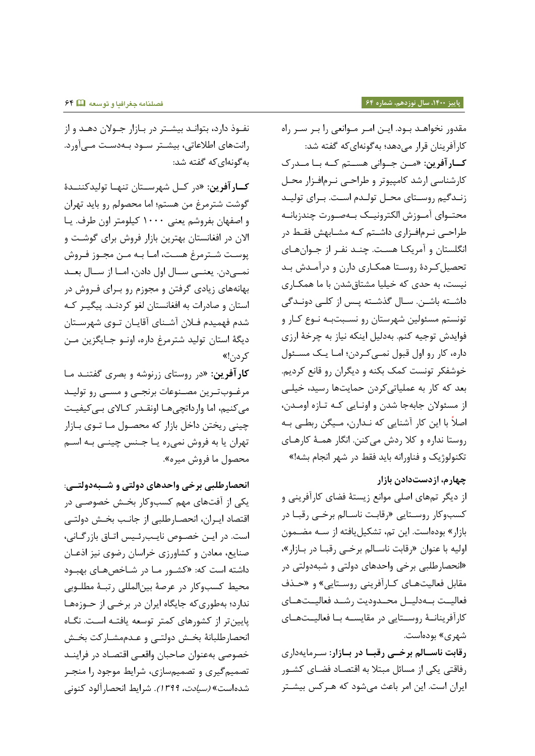نفوذ دارد، بتواند بیشتر در بازار جولان دهد و از رانتهای اطلاعاتی، بیشتر سـود بـهدسـت مـی آورد. به گونهای که گفته شد:

کارآفرین: «د<sub>ر</sub> کـل شهرسـتان تنهـا تولیدکننــدۀ گوشت شترمرغ من هستم؛ اما محصولم رو باید تهران و اصفهان بفروشم یعنی ۱۰۰۰ کیلومتر اون طرف. یـا الان در افغانستان بهترین بازار فروش برای گوشت و پوست شـترمرغ هسـت، امـا بـه مـن مجـوز فـروش نمسیدن. یعنسی سال اول دادن، اما از سال بعد بهانههای زیادی گرفتن و مجوزم رو بـرای فـروش در استان و صادرات به افغانستان لغو کردنـد. پیگیـر کـه شدم فهمیدم فـلان آشـنای آقایـان تـوی شهرسـتان دیگهٔ استان تولید شترمرغ داره، اونـو جـایگزین مـن کر دن!»

کارآفرین: «د<sub>ر ر</sub>وستای زرنوشه و بصری گفتنـد مـا مرغـوبتـرین مصـنوعات برنجـی و مسـی رو تولیـد می کنیم، اما وارداتچی هـا اونقـدر کـالای بـی کیفیـت چینی ریختن داخل بازار که محصـول مـا تـوی بـازار تهران یا به فروش نمیره یـا جـنس چینـی بـه اسـم محصول ما فروش میره».

**انحصارطلبی برخی واحدهای دولتی و شوبه دولتوی** : یکی از آفتهای مهم کسبوکار بخش خصوصی در اقتصاد ایـران، انحصـارطلبی از جانـب بخـش دولتـی است. در ایـن خصـوص نایـب, ئـیس اتـاق باز, گـانی، صنایع، معادن و کشاورزی خراسان رضوی نیز اذعـان داشته است که: «کشـور مـا در شـاخصهـای بهبـود محیط کسبوکار در عرصۀ بینالمللی رتبـۀ مطلـوبی ندارد؛ بهطوری که جایگاه ایران در برخبی از حـوزههـا پایین تر از کشورهای کمتر توسعه یافتـه اسـت. نگـاه انحصارطلبانۀ بخش دولتے و عـدممشــارکت بخـش خصوصی بهعنوان صاحبان واقعی اقتصاد در فراینـد تصمیمگیر و تصمیمساز رایط مرجرر را منجور شدهاست» *(سیادت، ۳۹۹).* شرایط انحصار آلود کنونی

مقدور نخواهـد بـود. ایـن امـر مـوانعی را بـر سـر راه کارآفرینان قرار میدهد؛ بهگونهای که گفته شد: کارآفرین: «مـن جـوانی هسـتم کـه بـا مـدرک کارشناسی ارشد کامپیوتر و طراحی نـرمافـزار محـل زنـدگیم روسـتای محـل تولـدم اسـت. بـرای توليـد محتــوای آمــوزش الکترونیــک بــهصــورت چندزبانــه طراحی نـرمافـزاری داشـتم کـه مشـابهش فقـط در انگلستان و آمریکا هست. چنـد نفـر از جـوانهـای تحصیل کـردۀ روسـتا همکـاري دارن و درآمـدش بـد نیست، به حدی که خیلیا مشتاقشدن با ما همکـاری داشـته باشـن. سـال گذشـته پـس از کلـی دونـدگی تونستم مسئولین شهرستان رو نسـبتبـه نـوع کـار و فوایدش توجیه کنم. بهدلیل اینکه نیاز به چرخۀ ارزی داره، کار رو اول قبول نمبی کردن؛ امـا یـک مسـئول خوشفکر تونست کمک بکنه و دیگران رو قانع کردیم. بعد که کار به عملیاتیکردن حمایتها رسید، خیلبی از مسئولان جابهجا شدن و اونـایی کـه تـازه اومـدن، اصلاً با این کار آشنایی که نـدارن، مـیگن ربطـی بـه روستا نداره و کلا ردش میکنن. انگار همـۀ کارهـای تکنولوژیک و فناورانه باید فقط در شهر انجام بشه!»

# **چهارم، ازدستدادن بازار**

از دیگر تمهای اصلی موانع زیستۀ فضای کارآفرینی و کسبوکار روسـتایی «رقابـت ناسـالم برخـی رقبـا در بازار» بودهاست. این تم، تشکیل یافته از سـه مضـمون اولیه با عنوان «رقابت ناسالم برخی رقبا در بازار»، «انحصارطلبی برخی واحدهای دولتی و شبهدولتی در مقابل فعالیتهای کارآفرینی روستایی» و «حـذف فعالیـت بـهدلیــل محــدودیت رشــد فعالیــتهــای کارآفرینانـهٔ روسـتایی در مقایسـه بـا فعالیـتهـای شهری» بودهاست.

رقابت ناسالم برخ<sub>صی</sub> رقبا در بازار: سرمایهداری رفاقتی یکی از مسائل مبتلا به اقتصـاد فضـای کشـور ایران است. این امر باعث میشود که هـرکس بیشـتر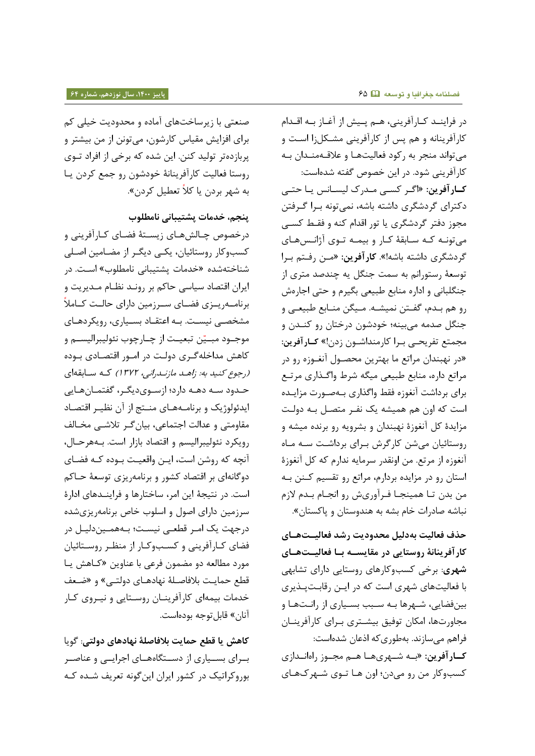صنعتی با زیرساختهای آماده و محدودیت خیلی کم برای افزایش مقیاس کارشون، میتونن از من بیشتر و پربازدهتر تولید کنن. این شده که برخی از افراد تــوی روستا فهالیت کارآفرینااۀ ترر رن رو جمع کررن یوا به شهر بردن یا کلاً تعطیل کردن».

**پنجم، خدمات پشتیبانی نامطلو** 

درخصوص چـالشهـای زیسـتهٔ فضـای کـارآفرینی و کسبوکار روستائیان، یکبی دیگـر از مضـامین اصـلی شناختهشده «خدمات پشتیبانی نامطلوب» است. در ایران اقتصاد سیاسی حاکم بر رونـد نظـام مـدیریت و برنامهريــزي فضــاي ســرزمين داراي حالــت كــاملاً مشخصـی نیسـت. بـه اعتقـاد بسـیاری، رویکردهـای موجــود مبــيّن تبعيــت از چــارچوب نئوليبراليســم و کاهش مداخلهگری دولت در امـور اقتصـادی بـوده (رجوع کنید به: زاهد م*ازندرانی، ۱۳۷۲)* که سابقهای حدود سـه دهـه دارد؛ ازسـویدیگـر، گفتمـانهـایی ایدئولوژیک و برنامههای منتج از آن نظیر اقتصاد مقاومتی و عدالت اجتماعی، بیان گـر تلاشـی مخـالف رویکرد نئولیبرالیسم و اقتصاد بازار است. بههرحـال، آنچه که روشن است، ایـن واقعیـت بـوده کـه فضـای دوگانهای بر اقتصاد کشور و برنامهریزی توسعۀ حـاکم است. در نتیجۀ این امر، ساختارها و فراینـدهای ادارۀ سرزمین دارای اصول و اسلوب خاص برنامهریزیشده درجهت یک امر قطعی نیست؛ بههمـیندلیـل در فضای کـارآفرینی و کسـبوکـار از منظـر روسـتائیان مورد مطالعه دو مضمون فرعی با عناوین «کـاهش یـا قطع حمایت بلافاصلهٔ نهادهـای دولتـی» و «ضـعف خدمات بیمهای کارآفرینـان روسـتایی و نیـروی کـار آنان» قابل توجه بودهاست.

**کاهش یا قطع حمایت بالفاصلۀ نهادهای دولتی**: گریا بسرای بسواری از دستگاههای اجرایی و عناصر بوروکراتیک در کشور ایران این گونه تعریف شـده کـه

در فراینـد کـارآفرینی، هـم پـیش از آغـاز بـه اقـدام کارآفرینانه و هم پس از کارآفرینی مشکلزا است و میتواند منجر به رکود فعالیتها و علاقهمنـدان بـه کارآفرینی شود. در این خصوص گفته شدهاست: کارآفرین: «اگر کسی مدرک لیسانس یا حتی دکترای گردشگری داشته باشه، نمیتونه بـرا گـرفتن مجوز دفتر گردشگری یا تور اقدام کنه و فقـط کسـی می تونـه کـه سـابقهٔ کـار و بیمـه تـوی آژانـس هـای گردشگری داشته باشه!». **کارآفرین**: «مـن رفـتم بـرا توسعۀ رستورانم به سمت جنگل یه چندصد متری از جنگلبانی و اداره منابع طبیعی بگیرم و حتی اجارهش رو هم بهم، گفتن نمیشه. میگن منـابع طبیعـی و جنگل صدمه میبینه؛ خودشون درختان رو کنـدن و مجمتع تفریحوی بورا کارمندا ورن زرن !« **کوارآفرین :** «در نهبندان مراتع ما بهترین محصـول آنغـوزه رو در مراتع داره، منابع طبیعی میگه شرط واگذاری مرتـع برای برداشت آنغوزه فقط واگذاری بـهصـورت مزايـده است که اون هم همیشه یک نفـر متصـل بـه دولـت مزایدۀ کل آنغوزۀ نهبندان و بشرویه رو برنده میشه و روستائیان می شن کارگرش برای برداشت سه ماه آنغوزه از مرتع. من اونقدر سرمایه ندارم که کل آنغوزۀ استان رو در مزایده بردارم، مراتع رو تقسیم کنن به من بدن تـا همينجـا فـرآوريش رو انجـام بـدم لازم نباشه صادرات خام بشه به هندوستان و پاکستان».

**حذف فعالیت بهدلیل محدودیت رشد فعالیوت هوای کارآفرینانۀ روستایی در مقایسوه بوا فعالیوت هوای**  شهری: برخی کسبوکارهای روستایی دارای تشابهی با فعالیتهای شهری است که در ایـن رقابـتپـذیری بین فضایی، شـهرها بـه سـبب بسـیاری از رانـتهـا و مجاورتها، امکان توفیق بیشتری بـرای کارآفرینــان فراهم میسازند. بهطوری که اذعان شدهاست: ک**ار آفرین**: «بـه شـهريهـا هـم مجـوز راهانـدازي کسبوکار من رو میدن؛ اون هـا تـوی شـهر کـهـای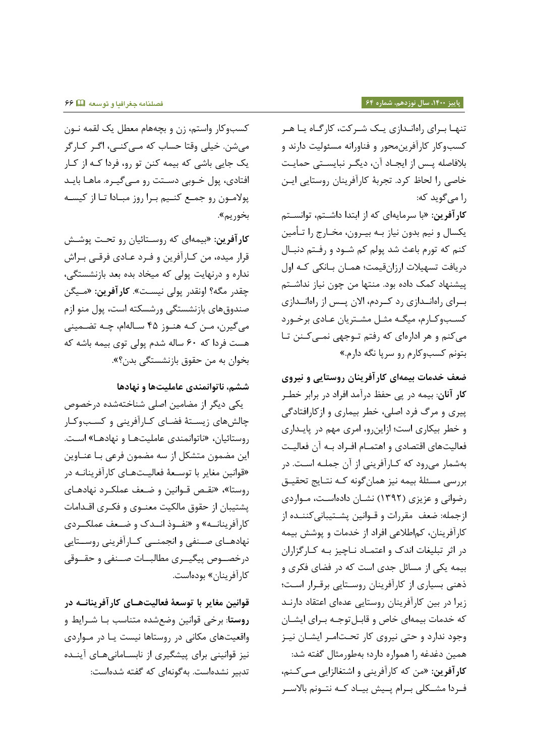تنها برای راهاندازی یک شـرکت، کارگـاه یـا هـر کسبوکار کارآفرین محور و فناورانه مسئولیت دارند و بلافاصله پس از ایجـاد آن، دیگـر نبایسـتی حمایـت خاصی را لحاظ کرد. تجربۀ کارآفرینان روستایی ایـن را میگرید ک:،

کارآفرین: «با سرمایهای که از ابتدا داشـتم، توانسـتم یکسال و نیم بدون نیاز بـه بیـرون، مخـارج را تـأمین کنم که تورم باعث شد پولم کم شـود و رفـتم دنبـال دریافت تسهیلات ارزانقیمت؛ همـان بـانکی کـه اول پیشنهاد کمک داده بود. منتها من چون نیاز نداشـتم بوای راهاندازی رد کوره، الان پسس از راهاندازی کسب وکارم، میگـه مثـل مشـتریان عـادی برخـورد میکنم و هر ادارهای که رفتم توجهی نمیکنن تا بتونم کسبوکارم رو سرپا نگه دارم.»

**ضعف خدمات بیمهای کارآفرینان روستایی و نیروی**  <mark>کار آنان</mark>: بیمه در پی حفظ درآمد افراد در برابر خطـر پیری و مرگ فرد اصلی، خطر بیماری و ازکارافتادگی و خطر بیکاری است؛ ازاین رو، امری مهم در پایداری فعالیتهای اقتصادی و اهتمـام افـراد بـه آن فعالیـت بهشمار میرود که کـارآفرینی از آن جملـه اسـت. در بررسی مسئلۀ بیمه نیز همان گونه کـه نتـایج تحقیـق رضوانی و عزیزی (١٣٩٢) نشـان دادهاسـت، مـواردی ازجمله: ضعف مقررات و قــوانین پشــتیبانی کننــده از کارآفرینان، کماطلاعی افراد از خدمات و پوشش بیمه در اثر تبلیغات اندک و اعتمـاد نـاچیز بـه کـارگزاران بیمه یکی از مسائل جدی است که در فضای فکری و ذهنی بسیاری از کارآفرینان روستایی برقرار است؛ زیرا در بین کارآفرینان روستایی عدهای اعتقاد دارنـد که خدمات بیمهای خاص و قابلتوجه برای ایشان وجود ندارد و حتی نیروی کار تحتامر ایشان نیـز همین دغدغه را همواره دارد؛ بهطورمثال گفته شد: کارآفرین: «من که کارآفرینی و اشتغالزایی م*ی ک*نم، فـردا مشـكلی بـرام پـيش بيـاد كـه نتـونم بالاسـر

کسبوکار واستم، زن و بچههام معطل یک لقمه نـون میشن. خیلی وقتا حساب که مـیکنـی، اگـر کـارگر یک جایی باشی که بیمه کنن تو رو، فردا کـه از کـار افتادی، پول خـوبی دسـتت رو مـی گیـره. ماهـا بایـد پولامون رو جمع کنیم برا روز مبادا تا از کیسه بخوریم».

ک**ارآفرین**: «بیمهای که روسـتائیان رو تحـت پوشـش قرار میده، من کـارآفرین و فـرد عـادی فرقـی بـراش نداره و درنهایت پولی که میخاد بده بعد بازنشستگی، چقدر مگه؟ اونقدر پولی نیسـت». **کارآفرین**: «مـیگن صندوق های بازنشستگی ورشسکته است، پول منو ازم میگیرن، مـن کـه هنـوز ۴۵ سـالهام، چـه تضـمینی هست فردا که ۶۰ ساله شدم پولی توی بیمه باشه که بخوان به من حقوق بازنشستگی بدن؟».

**ششم، ناتوانمندی عاملیتها و نهادها**

یکی دیگر از مضامین اصلی شناختهشده درخصوص چالشهای زیستهٔ فضای کارآفرینی و کسبوکار روستائیان، «ناتوانمندی عاملیتهـا و نهادهـا» اسـت. این مضمون متشکل از سه مضمون فرعی بـا عنــاوین «قوانین مغایر با توسعهٔ فعالیتهای کارآفرینانـه در روستا»، «نقص قـوانین و ضـعف عملکـرد نهادهـای پشتیبان از حقوق مالکیت معنــوی و فکــری اقــدامات کارآفرینانــه» و «نفــوذ انــدک و ضــعف عملکــردی نهادهــای صــنفی و انجمنــی کــارآفرینی روســتایی درخصــوص پیگیــری مطالبـــات صــنفی و حقـــوقی کا<sub>ر</sub> آفرینان» بودهاست.

**قوانین مغایر با توسعۀ فعالیتهوای کارآفرینانوه در**  <mark>روستا</mark>: برخی قوانین وضعشده متناسب بـا شـرایط و واقعیتهای مکانی در روستاها نیست یـا در مـواردی نیز قوانینی برای پیشگیری از نابسـامانیهـای آینـده تدبیر نشدهاست. بهگونهای که گفته شدهاست: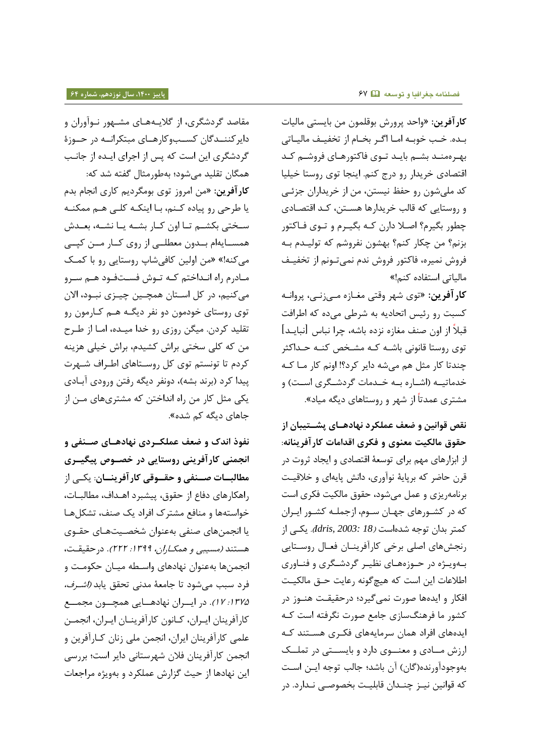<mark>کارآفرین</mark>: «واحد پرورش بوقلمون من بایستی مالیات بده. خب خوبه امـا اگـر بخـام از تخفیـف مالیـاتی بهـرهمنـد بشـم بایـد تـوی فاکتورهـای فروشـم کـد اقتصادی خریدار رو درج کنم. اینجا توی روستا خیلیا کد ملیشون رو حفظ نیستن، من از خریداران جزئبی و روستایی که قالب خریدارها هستن، کـد اقتصـادی چطور بگیرم؟ اصـلا دارن کـه بگیـرم و تـوي فـاکتور بزنم؟ من چکار کنم؟ بهشون نفروشم که تولیـدم بـه فروش نمیره، فاکتور فروش ندم نمیتـونم از تخفیـف مالیاتی استفاره کنم!«

کار آفرین: «توی شهر وقتی مغـازه مـیزنـی، پروانـه کسبت رو رئیس اتحاری، ب، رطی میره ک، اطرافت قبلاً از اون صنف مغازه نزده باشه، چرا نباس [نبایـد] توی روستا قانونی باشـه کـه مشـخص کنـه حـداکثر چندتا کار مثل هم میشه دایر کرد؟! اونم کار مـا کـه خدماتیــه (اشــاره بــه خــدمات گردشــگری اســت) و مشتری عمدتاً از شهر و روستاهای دیگه میاد».

**نقص قوانین و ضعف عملکرد نهادهوای پشوتیبان از حقوق مالکیت معنوی و فکری اقدامات کارآفرینانه**: از ابزارهای مهم برای توسعۀ اقتصادی و ایجاد ثروت در قرن حاضر که برپایۀ نوآوری، دانش پایهای و خلاقیت برنامهریزی و عمل میشود، حقوق مالکیت فکری است که در کشـورهای جهـان سـوم، ازجملــه کشـور ایــران کمتر بدان ترج، دهاست )*18 2003: ,Idris*). یکوی از رنجشهای اصلی برخی کارآفرینان فعال روستایی بهویوژه در حـوزههـای نظیـر گردشـگری و فنـاوری اطلاعات این است که هیچگونه رعایت حـق مالکیـت افکار و ایدهها صورت نمیگیرد؛ درحقیقت هنـوز در کشور ما فرهنگسازی جامع صورت نگرفته است کـه ایدههای افراد همان سرمایههای فکـری هسـتند کـه ارزش مادی و معنووی دارد و بایستی در تملک بهوجودآورنده(گان) آن باشد؛ جالب توجه ایـن اسـت که قوانین نیـز چنـدان قابلیـت بخصوصـی نـدارد. در

مقاصد گردشگری، از گلایههـای مشـهور نـوآوران و دایرکننـدگان کسـبوکارهـای مبتکرانـه در حـوزۀ گردشگری این است که پس از اجرای ایـده از جانـب همگان تقلید می شود؛ بهطور مثال گفته شد که:

ک**ارآفرین**: «من امروز توی بومگردیم کاری انجام بدم یا طرحی رو پیاده کنم، با اینکه کلبی هـم ممکنـه سختی بکشم تا اون کار بشه یا نشـه، بعـدش همسـایهام بــدون معطلــی از روی کــار مــن کیــی میکنه!» «من اولین کافی شاپ روستایی رو با کمک مادرم راه انـداختم کـه تـوش فسـتفود هـم سـرو میکنیم، در کل استان همچـین چیـزی نبـود، الان توی روستای خودمون دو نفر دیگـه هـم کـارمون رو تقلید کردن. میگن روزی رو خدا میـده، امـا از طـرح من که کلی سختی براش کشیدم، براش خیلی هزینه کردم تا تونستم توی کل روسـتاهای اطـراف شـهرت پیدا کرد (برند بشه)، دونفر دیگه رفتن ورودی آبادی یکی مثل کار من راه انداختن که مشتریهای مـن از جاهای دیگه کم شده».

**نفوذ اندک و ضعف عملکوردی نهادهوای صونفی و انجمنی کارآفرینی روستایی در خصووص پیگیوری**  م**طالبـــات صـــنفی و حقـــوقی کار آفرینـــان**: یکــی از راهکارهای دفاع از حقوق، پیشبرد اهـداف، مطالبــات، خواستهها و منافع مشترک افراد یک صنف، تشکلها یا انجمنهای صنفی بهعنوان شخصیتهای حقـوی هستند *(مسیبی و همکـاران، ۱۳۹۹: ۲۲۲)*. د<sub>ر</sub>حقیقـت، انجمنها بهعنوان نهادهای واسـطه میــان حکومــت و فرد سبب می شود تا جامعۀ مدنی تحقق یابد *(اشـرف،* :5844 54(. رر ایووران اهاراووایی امچوورن مجمووع کارآفرینان ایـران، کـانون کارآفرینـان ایـران، انجمـن علمی کارآفرینان ایران، انجمن ملی زنان کـارآفرین و انجمن کارآفرینان فلان شهرستانی دایر است؛ بررسی این نهادها از حیث گزارش عملکرد و بهویژه مراجعات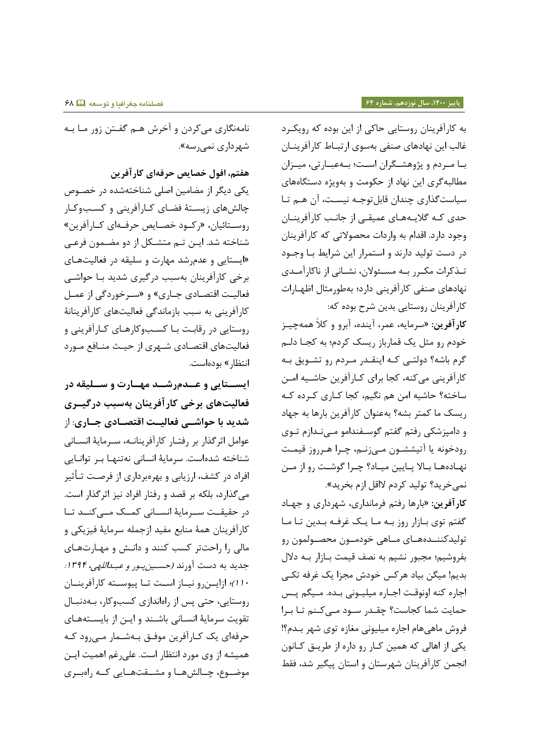نامهنگاري ميكردن و آخرش هـم گفـتن زور مـا بـه شهرداری نمی رسه».

**هفتم، افول خصایص حرفهای کارآفرین** یکی دیگر از مضامین اصلی شناختهشده در خصوص چالشهای زیستهٔ فضای کارآفرینی و کسبوکار روسـتائیان، «رکـود خصـایص حرفـهای کـارآفرین» شناخته شد. ایــن تــم متشــکل از دو مضــمون فرعــی «ایستایی و عدم شد مهارت و سلیقه در فعالیتهای برخی کارآفرینان بهسبب درگیری شدید با حواشی فعالیت اقتصادی جباری» و «سیرخوردگی از عمیل کارآفرینی به سبب بازماندگی فعالیتهای کارآفرینانۀ روستایی در رقابت بـا کسـبوکارهـای کـارآفرینی و فعالیتهای اقتصادی شـهری از حیـث منـافع مـورد انتظا<sub>ر</sub> » بودهاست.

ایس**تایی و عـدمرشـد مهـارت و سـلیقه در فعالیتهای برخی کارآفرینان بهسبب درگیوری شدید با حواشوی فعالیوت اقتصوادی جواری** : از عوامل اثرگذار بر رفتـار کارآفرینانــه، سـرمایهٔ انسـانی شناخته شدهاست. سرمایۀ انسانی نهتنها بر توانایی افراد در کشف، ارزیابی و بهرهبرداری از فرصت تـأثیر میگذارد، بلکه بر قصد و رفتار افراد نیز اثرگذار است. در حقیقـت سـرمایۀ انسـانی کمـک مـیکنـد تـا کارآفرینان همۀ منابع مفید ازجمله سرمایۀ فیزیکی و مالی را راحتتر کسب کنند و دانش و مهارتهای جدید به دست آورند *(حسين پور و عبداللهی، ۱۳۹۴:* ١٠()؛ ازایونرو نیاز است تا پیوسته کارآفرینان روستایی، حتی پس از راهاندازی کسبوکار، بهدنبال تقویت سرمایۀ انسـانی باشـند و ایـن از بایسـتههـای حرفهای یک کـارآفرین موفـق بـهشـمار مـی,رود کـه همیشه از وی مورد انتظار است. علیرغم اهمیت ایـن موضوع، چالش ها و مشتقت هایی که راه بری

به کارآفرینان روستایی حاکی از این بوده که رویکرد غالب این نهادهای صنفی بهسوی ارتبـاط کارآفرینــان بـا مـردم و پژوهشـگران اسـت؛ بـهعبـارتی، میـزان مطالبه گری این نهاد از حکومت و بهویژه دستگاههای سیاست گذاری چندان قابل توجـه نیسـت، آن هـم تـا حدی کـه گلایـههـای عمیقـی از جانـب کارآفرینــان وجود دارد. اقدام به واردات محصولاتی که کارآفرینان در دست تولید دارند و استمرار این شرایط با وجـود تـذکرات مکـرر بـه مسـئولان، نشـانی از ناکارآمـدی نهادهای صنفی کارآفرینی دارد؛ بهطورمثال اظهـارات کارآفرینان روستایی بدین شرح بوده که:

ک**ارآفرین**: «سرمایه، عمر، آینده، آبرو و کلاً همهچیـز خودم رو مثل یک قمارباز ریسک کردم؛ به کجـا دلـم گرم باشه؟ دولتے که اینقدر مردم رو تشویق بـه کارآفرینی میکنه، کجا برای کـارآفرین حاشـیه امـن ساخته؟ حاشیه امن هم نگیم، کجا کـاری کـرده کـه ریسک ما کمتر بشه؟ بهعنوان کارآفرین بارها به جهاد و دامپزشکی رفتم گفتم گوسـفندامو مـینـدازم تـوی رودخونه یا آتیششـون مـیزنـم، چـرا هـرروز قیمـت نهادهها بالا پایین میاد؟ چـرا گوشـت رو از مـن نمیخرید؟ تولید کردم لااقل ازم بخرید».

کارآفرین: «بارها رفتم فرمانداری، شهرداری و جهاد گفتم توی بازار روز به ما یک غرفه بدین تا ما تولیدکننــدههــای مــاهی خودمــون محصــولمون رو بفروشیم؛ مجبور نشیم به نصف قیمت بـازار بـه دلال بدیم! میگن بیاد هرکس خودش مجزا یک غرفه تکے اجاره کنه اونوقت اجـاره میلیـونی بـده. مـیگم پـس حمایت شما کجاست؟ چقـدر سـود مـیکنم تـا بـرا فروش ماهیهام اجاره میلیونی مغازه توی شهر بـدم؟! یکی از اهالی که همین کار رو داره از طریق کانون انجمن کارآفرینان شهرستان و استان پیگیر شد، فقط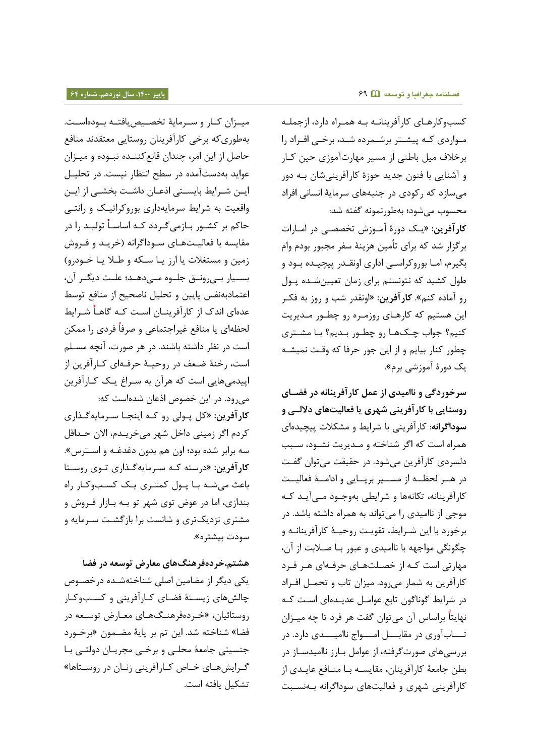میـزان کـار و سـرمایۀ تخصـیص یافتـه بـودهاسـت. ب، طرر ک، برتی کارآفرینان روستایی مهتقداد منافع حاصل از این امر، چندان قانع کننـده نبـوده و میـزان عواید به دست آمده در سطح انتظار نیست. در تحلیـل ایین شیرایط بایستی اذعیان داشت بخشی از ایین واقعیت به شرایط سرمایهداری بوروکراتیک و رانتبی حاکم بر کشـور بـازمیگـردد کـه اساسـاً تولیـد را در مقایسه با فعالیتهای سوداگرانه (خریـد و فـروش زمین و مستغلات یا ارز یا سکه و طلا یا خودرو) بسـیار بـیرونـق جلـوه مـیدهـد؛ علـت دیگـر آن، اعتمادبهنفس پایین و تحلیل ناصحیح از منافع توسط عدهای اندک از کارآفرینــان اســت کــه گاهــاً شــرایط لحظهای یا منافع غیراجتماعی و صرفاً فردی را ممکن است در نظر داشته باشند. در هر صورت، آنچه مسـلم است، رخنۀ ضعف در روحیـۀ حرفـهای کـارآفرین از اپیدمی هایی است که هرآن به سـراغ یـک کـارآفرین می رود. در این خصوص اذعان شده است که: کارآفرین: «کل پولی رو که اینجا سرمایه *گ*ذاری کردم اگر زمینی داخل شهر میخریـدم، الان حـداقل سه برابر شده بود؛ اون هم بدون دغدغـه و اسـترس». کارآفرین: «درسته که سرمایهگذاری توی روستا

باعث می شه با پول کمتری یک کسبوکار راه بندازی، اما در عوض توی شهر تو بـه بـازار فـروش و مشتری نزدیکتری و شانست برا بازگشت سـرمایه و سودت بیشتره».

**هشتم،خردهفرهنگهای معارض توسعه در فضا** یکی دیگر از مضامین اصلی شناختهشـده درخصـوص چالشهای زیستۀ فضای کـارآفرینی و کسـبوکـار روستائیان، «خـردهفرهنـگهـای معـارض توسـعه در فضا» شناخته شد. این تم بر پایۀ مضـمون «برخـورد جنسیتی جامعۀ محلـی و برخـی مجریـان دولتـی بـا گرایشهای خاص کارآفرینی زنان در روستاها» تشکیل یافته است.

کسبوکارهای کارآفرینانـه بـه همـراه دارد، ازجملـه مـواردی کـه پیشـتر برشـمرده شـد، برخـی افـراد را برخلاف میل باطنی از مسیر مهارتآموزی حین ک]ر و آشنایی با فنون جدید حوزۀ کارآفرینیشان بـه دور می سازد که رکودی در جنبههای سرمایۀ انسانی افراد محسوب می شود؛ بهطورنمونه گفته شد:

کارآفرین: «یک دورهٔ آموزش تخصصی در امـارات برگزار شد که برای تأمین هزینۀ سفر مجبور بودم وام بگیرم، امـا بوروکراسـی اداری اونقـدر پیچیـده بـود و طول کشید که نتونستم برای زمان تعیین شـده پـول رو آماره کنم«. **کارآفرین:** »اواقدر ب و روز ب، فکور این هستیم که کارهای روزمره رو چطـور مـدیریت کنیم؟ جواب چکھا رو چطور بدیم؟ با مشتری چطور کنار بیایم و از این جور حرفا که وقت نمیشـه یک دورۂ آموزشی برم**»**.

**سرخوردگی و ناامیدی از عمل کارآفرینانه در فضوای روستایی با کارآفرینی شهری یا فعالیتهای داللوی و**  سوداگرانه: کارآفرینی با شرایط و مشکلات پیچیدهای همراه است که اگر شناخته و مـدیریت نشـود، سـبب دلسردی کارآفرین میشود. در حقیقت میتوان گفت در هــر لحظــه از مســير برپــايي و ادامــهٔ فعاليــت کارآفرینانه، تکانهها و شرایطی بهوجـود مـی آیـد کـه موجی از ناامیدی را می تواند به همراه داشته باشد. در برخورد با این شـرایط، تقویـت روحیـهٔ کارآفرینانـه و چگونگی مواجهه با ناامیدی و عبور بـا صـلابت از آن، مهارتی است کـه از خصـلتهـای حرفـهای هـر فـرد کارآفرین به شمار میرود. میزان تاب و تحمل افراد در شرایط گوناگون تابع عوامـل عدیـدهای اسـت کـه نهایتاً براساس آن میتوان گفت هر فرد تا چه میــزان تساب آوری در مقابسل امسواج ناامیسدی دارد. در بررسی های صورت گرفته، از عوامل بـارز ناامیدسـاز در بطن جامعۀ کارآفرینان، مقایسـه بـا منـافع عایـدي از کارآفرینی شهری و فعالیتهای سوداگرانه بهنسبت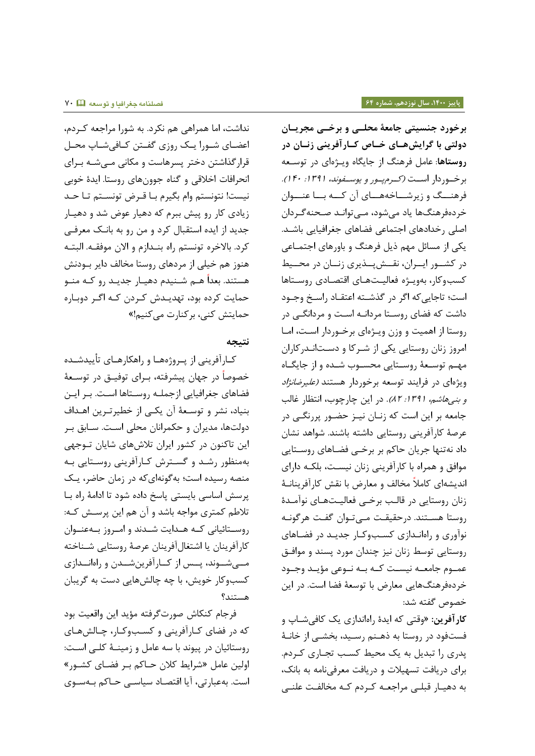نداشت، اما همراهی هم نکرد. به شورا مراجعه کردم، اعضای شـورا یـک روزی گفـتن کـافیشـاپ محـل قرار گذاشتن دختر پسرهاست و مکانی مے شـه بـرای انحرافات اخلاقی و گناه جوونهای روستا. ایدۀ خوبی نیست! نتونستم وام بگیرم بـا قـرض تونسـتم تـا حـد زیادی کار رو پیش ببرم که دهیار عوض شد و دهیـار جدید از ایده استقبال کرد و من رو به بانک معرفی كرد. بالاخره تونستم راه بنـدازم و الان موفقـه. البتـه هنوز هم خیلی از مردهای روستا مخالف دایر بـودنش هستند. بعداً هــم شــنیدم دهیــار جدیــد رو کــه منــو حمایت کرده بود، تهدیـدش کـردن کـه اگـر دوبـاره حمایتش کنی، برکنارت می کنیم!»

#### **نتیجه**

کـارآفرینی از پــروژههـا و راهکارهــای تأییدشــده خصوصاً در جهان پیشرفته، بـرای توفیــق در توســعهٔ فضاهای جغرافیایی ازجملـه روسـتاها اسـت. بـر ایـن بنیاد، نشر و توسعهٔ آن یکی از خطیرترین اهداف دولتها، مدیران و حکمرانان محلی است. سـابق بـر این تاکنون در کشور ایران تلاشهای شایان توجهی به منظور رشد و گسترش کارآفرینی روستایی به منصه رسیده است؛ بهگونهای که در زمان حاضر، یک پرسش اساسی بایستی پاسخ داده شود تا ادامۀ راه با تلاطم کمتری مواجه باشد و آن هم این پرسش که: روسـتائیانی کـه هـدایت شـدند و امـروز بـهعنـوان کارآفرینان یا اشتغالآفرینان عرصۀ روستایی شـناخته مسی شوند، پسس از کارآفرین شمدن و راهانسدازی کسبوکار خویش، با چه چالشهایی دست به گریبان استند؟

فرجام کنکاش صورتگرفته مؤید این واقعیت بود که در فضای کـارآفرینی و کسـبوکـار، چـالشهـای روستائیان در پیوند با سه عامل و زمینــهٔ کلــی اسـت: اولین عامل «شرایط کلان حـاکم بـر فضـای کشـور» است. بهعبارتی، آیا اقتصاد سیاسـی حـاکم بـهسـوی

**برخورد جنسیتی جامعۀ محلوی و برخوی مجریوان دولتی با گرایشهوای خواص کوارآفرینی زنوان در روستاها**: عامل فرهنگ از جایگاه ویژهای در توسعه برخوردار است (کرم پور و یوسفوند، ١٣٩١: ٢٠١٢٠). فرهنـــگ و زیرشـــاخههـــای آن کـــه بـــا عنـــوان خردهفرهنگها یاد میشود، مـیتوانـد صـحنهگـردان اصلی رخدادهای اجتماعی فضاهای جغرافیایی باشد. یکی از مسائل مهم ذیل فرهنگ و باورهای اجتمـاعی در کشور ایبران، نقسش پوندیری زنسان در محسیط کسب وکار، بهویژه فعالیتهای اقتصادی روستاها است؛ تاجاییکه اگر در گذشته اعتقـاد راسـخ وجـود داشت که فضای روستا مردانـه اسـت و مردانگـی در روستا از اهمیت و وزن ویژهای برخوردار است، اما امروز زنان روستایی یکی از شـرکا و دسـتانـدرکاران مهـم توسـعۀ روسـتایی محسـوب شـده و از جایگـاه ویژهای در فرایند توسعه برخوردار هستند *(علیرضانژاد* و بنیهاشم، ١٣٩١: ٨٢). در این چارچوب، انتظار غالب جامعه بر این است که زنـان نیـز حضـور پررنگـی در عرصهٔ کارآفرینی روستایی داشته باشند. شواهد نشان داد نهتنها جریان حاکم بر برخـی فضـاهای روسـتایی موافق و همراه با کارآفرینی زنان نیست، بلکـه دارای اندیشهای کاملاً مخالف و معارض با نقش کارآفرینانـهٔ زنان روستایی در قالب برخبی فعالیتهای نوآمدۀ روستا هسـتند. درحقیقـت مـیتوان گفـت هرگونـه نوآوری و راهاندازی کسبوکار جدید در فضاهای روستایی توسط زنان نیز چندان مورد پسند و موافـق عمـوم جامعـه نیسـت کـه بـه نـوعی مؤیـد وجـود خردهفرهنگهایی معارض با توسعۀ فضا است. در این خصوص گفته شد:

کارآفرین: «وقتی که ایدۀ راهاندازی یک کافیشـاپ و فستفود در روستا به ذهـنم رسـید، بخشـی از خانـهٔ یدری را تبدیل به یک محیط کسب تجاری کردم. برای دریافت تسهیلات و دریافت معرفینامه به بانک، به دهیـار قبلـی مراجعـه کـردم کـه مخالفـت علنـی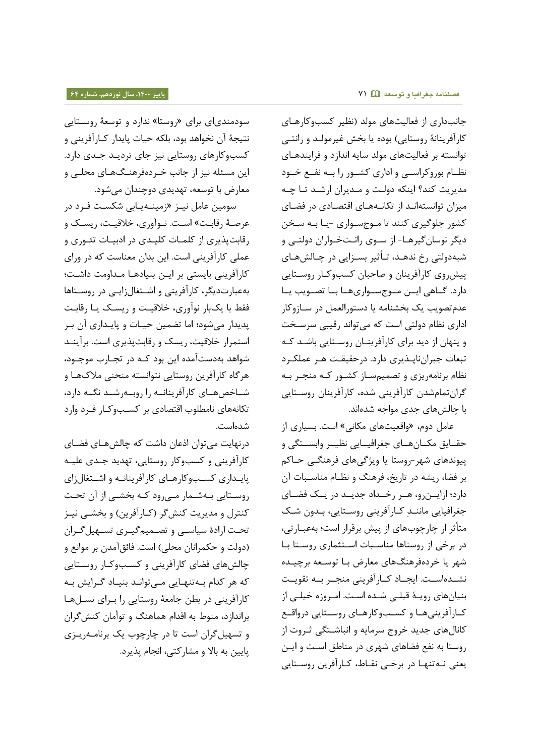سودمندیای برای «روستا» ندارد و توسعهٔ روسـتایی نتیجۀ آن نخواهد بود، بلکه حیات پایدار کـارآفرینی و کسبوکارهای روستایی نیز جای تردید جدی دارد. این مسئله نیز از جانب خـردهفرهنـگ@عای محلـی و معارض با توسعه، تهدیدی دوچندان می شود.

سومین عامل نیـز «زمینـهیـابی شکسـت فـرد در عرصـۀ رقابـت» اسـت. نـوآوري، خلاقيـت، ریسـک و رقابتپذیری از کلمـات کلیـدی در ادبیـات تئـوری و عملی کارآفرینی است. این بدان معناست که در ورای کارآفرینی بایستی بر ایـن بنیادهـا مـداومت داشـت؛ بهعبارتدیگر، کارآفرینی و اشتغالزایی در روستاها فقط با یکبار نوآوری، خلاقیت و ریسک یا رقابت پدیدار میشود؛ اما تضمین حیـات و پایـداری آن بـر استمرار خلاقیت، ریسک و رقابتپذیری است. برآیند شواهد بهدستآمده این بود کـه در تجـارب موجـود، هرگاه کارآفرین روستایی نتوانسته منحنی ملاکهـا و شـاخصهـاي كارآفرينانــه را روبــهرشــد نگــه دارد، تکانههای نامطلوب اقتصادی بر کسـبوکـار فـرد وارد دهاست.

درنهایت میتوان اذعان داشت که چالشهـای فضـای کارآفرینی و کسبوکار روستایی، تهدید جـدی علیـه پایداری کسبوکارهای کارآفرینانه و اشتغالزای روستایی بهشمار میرود که بخشـی از آن تحت کنترل و مدیریت کنشگر (کـارآفرین) و بخشـی نیـز تحت ارادۀ سیاسی و تصـمیمگیـری تسـهیلگـران (دولت و حکمرانان محلی) است. فائقآمدن بر موانع و چالش های فضای کارآفرینی و کسب وکـار روسـتایی که هر کدام بهتنهایی میتواند بنیاد گرایش به کارآفرینی در بطن جامعۀ روستایی را بـرای نسـلهـا براندازد، منوط به اقدام هماهنگ و توأمان کنش گران و تسهیل گران است تا در چارچوب یک برنامه ریـزی پایین به بالا و مشارکتی، انجام پذیرد.

جانبداری از فعالیتهای مولد (نظیر کسبوکارهای کارآفرینانۀ روستایی) بوده یا بخش غیرمولـد و رانتـی توانسته بر فعالیتهای مولد سایه اندازد و فرایندهـای نظـام بوروکراسـی و اداری کشـور را بــه نفـع خـود مدیریت کند؟ اینکه دولت و مـدیران ارشـد تـا چـه میزان توانستهانـد از تکانـههـای اقتصـادی در فضـای کشور جلوگیری کنند تا مـوجسـواری -یـا بـه سـخن دیگر نوسان گیرهـا- از سـوی رانـتخـواران دولتـی و شبهدولتی رخ ندهـد، تـأثير بسـزايی در چـالش1عای پیش روی کارآفرینان و صاحبان کسبوکار روستایی دارد. گـاهی ایــن مــوج ســواریهــا بــا تصــویب یــا عدم تصویب یک بخشنامه یا دستورالعمل در سـازوکار اداری نظام دولتی است که میتواند رقیبی سرسخت و پنهان از دید برای کارآفرینان روستایی باشد که تبعات جبران ناپذیری دارد. در حقیقت هـر عملکـرد نظام برنامهریزی و تصمیمساز کشور که منجر به گرانتمامشدن کارآفرینی شده، کارآفرینان روسـتایی با چالش های جدی مواجه شدهاند.

عامل دوم، «واقعیتهای مکانی» است. بسیاری از حقـایق مکـانهـای جغرافیـایی نظیـر وابسـتگی و پیوندهای شهر-روستا یا ویژگی های فرهنگـی حـاکم بر فضا، ریشه در تاریخ، فرهنگ و نظـام مناسـبات آن دارد؛ ازایوزرو، هر رخمداد جدید در یک فضای جغرافیایی ماننـد کـارآفرینی روسـتایی، بـدون شـک متأثر از چارچوبهای از پیش برقرار است؛ بهعبـارتی، در برخی از روستاها مناسبات استثماری روستا با شهر یا خردهفرهنگهای معارض بـا توسـعه برچیـده نشـدهاسـت. ایجـاد کــارآفرینی منجــر بــه تقویــت بنیانهای رویـهٔ قبلـی شـده اسـت. امـروزه خیلـی از کارآفرینیها و کسبوکارهای روستایی درواقع کانالهای جدید خروج سرمایه و انباشتگی ثـروت از روستا به نفع فضاهای شهری در مناطق است و ایـن یعنی نـهتنهـا در برخـی نقـاط، کـارآفرین روسـتایی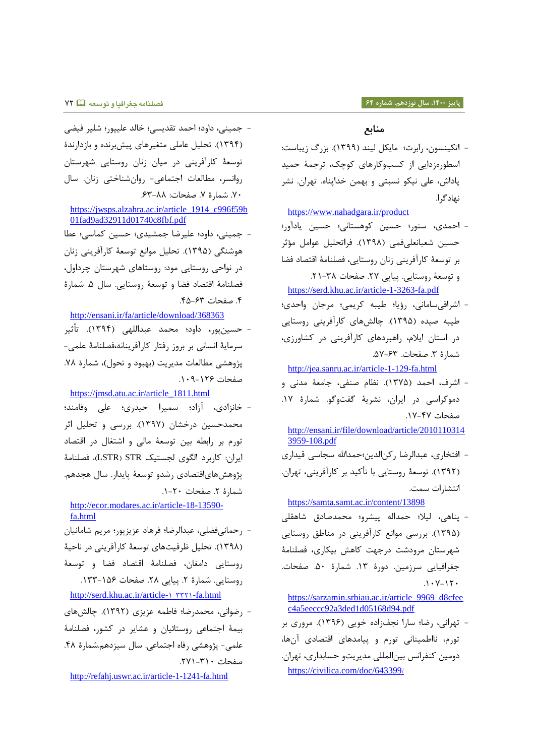#### **پاییز ،0011 سال نوزدهم، شماره 60 فصلنامه جغرافیا و توسعه** 45

### **منابع**

- اتکینسون، رابرت؛ مایکل لیند (۱۳۹۹). بزرگ زیباست: اسطورهزدایی از کسبوکارهای کوچک، ترجمۀ حمید پاداش، علی نیکو نسبتی و بهمن خداپناه. تهران. نشر نهادگرا.

<https://www.nahadgara.ir/product>

- احمدی، سنور؛ حسین کوهستانی؛ حسین یادآور؛ حسین شعبانعلیفمی (۱۳۹۸). فراتحلیل عوامل مؤثر بر توسعۀ کارآفرینی زنان روستایی، فصلنامۀ اقتصاد فضا و توسعۀ روستایی. پیاپی ٢٧. صفحات ٣٨-٢١. <https://serd.khu.ac.ir/article-1-3263-fa.pdf>

- اشراقیسامانی، رؤیا؛ طیبه کریمی؛ مرجان واحدی؛ طیبه صیده (۱۳۹۵). چالشهای کارآفرینی روستایی در استان ایلام، راهبردهای کارآفرینی در کشاورزی، شمارۀ ٣. صفحات. ۶۳-۵۷.

<http://jea.sanru.ac.ir/article-1-129-fa.html>

- اشرف، احمد (۱۳۷۵). نظام صنفی، جامعۀ مدنی و دموکراسی در ایران، نشریۀ گفتوگو. شمارۀ ١٧. صفحات ۴۷-۱۷.

[http://ensani.ir/file/download/article/2010110314](http://ensani.ir/file/download/article/20101103143959-108.pdf) [3959-108.pdf](http://ensani.ir/file/download/article/20101103143959-108.pdf)

- افتخاری، عبدالرضا رکنالدین؛حمدالله سجاسی قیداری )5845(. ترسهۀ روستایی با تأکید بر کارآفرینی تهران. ااتشارات سمت.

<https://samta.samt.ac.ir/content/13898>

- پناهی، لیلا؛ حمداله پیشرو؛ محمدصادق شاهقلی )5844(. بررسی مرااع کارآفرینی رر مناطق روستایی شهرستان مرودشت درجهت کاهش بیکاری، فصلنامۀ جغرافیایی سرزمین. دورۀ ١٣. شمارۀ ۵۰. صفحات.  $.1 - V - I \cdot$ 

[https://sarzamin.srbiau.ac.ir/article\\_9969\\_d8cfee](https://sarzamin.srbiau.ac.ir/article_9969_d8cfeec4a5eeccc92a3ded1d05168d94.pdf) [c4a5eeccc92a3ded1d05168d94.pdf](https://sarzamin.srbiau.ac.ir/article_9969_d8cfeec4a5eeccc92a3ded1d05168d94.pdf)

- تهرانی، رضا؛ سارا نجفزاده خویی (۱۳۹۶). مروری بر تورم، نااطمینانی تورم و پیامدهای اقتصادی آنها، دومین کنفرانس بین المللی مدیریتو حسابداری، تهران. [https://civilica.com/doc/643399](https://civilica.com/doc/643399/)/

- جمینی راور؛ اامد تقدیسی؛ تالد علیپرر؛ لیر فیضی (۱۳۹۴). تحلیل عاملی متغیرهای پیش برنده و بازدارندۀ ترسهۀ کارآفرینی رر میان زاان روستایی هرستان روانسر، مطالعات اجتماعی- روان شناختی زنان. سال .4. شمارۀ Y. صفحات: A۸-۶۳.

[https://jwsps.alzahra.ac.ir/article\\_1914\\_c996f59b](https://jwsps.alzahra.ac.ir/article_1914_c996f59b01fad9ad32911d01740c8fbf.pdf) [01fad9ad32911d01740c8fbf.pdf](https://jwsps.alzahra.ac.ir/article_1914_c996f59b01fad9ad32911d01740c8fbf.pdf)

- جمینی راور؛ علیرضا جمشید ؛ اسی کماسی؛ عطا هوشنگی (۱۳۹۵). تحلیل موانع توسعۀ کارآفرینی زنان در نواحی روستایی مود: روستاهای شهرستان چرداول، فصلنامۀ اقتصاد فضا و توسعۀ روستایی. سال ۵. شمارۀ .5 صفحات .54-48

<http://ensani.ir/fa/article/download/368363>

- حسین پور، داود؛ محمد عبداللهی (۱۳۹۴). تأثیر سرمایۀ ااساای بر بروز رفتار کارآفریناا، فصلنامۀ علمی- پژوهشی مطالعات مدیریت (بهبود و تحول)، شمارۀ ٧٨. صفحات .554-554

[https://jmsd.atu.ac.ir/article\\_1811.html](https://jmsd.atu.ac.ir/article_1811.html)

- خانزادی، آزاد؛ سمیرا حیدری؛ علی وفامند؛ محمدحسین درخشان (۱۳۹۷). بررسی و تحلیل اثر تورم بر رابطه بین توسعۀ مالی و اشتغال در اقتصاد ایران: کاربرد الگوی لجستیک LSTR) STR)، فصلنامۀ پژوهشهای|قتصادی رشدو توسعۀ پایدار. سال هجدهم.  $-5 - 5$ . صفحات  $-7 - 1$ .

[http://ecor.modares.ac.ir/article-18-13590](http://ecor.modares.ac.ir/article-18-13590-fa.html) [fa.html](http://ecor.modares.ac.ir/article-18-13590-fa.html)

- رحمانیفضلی، عبدالرضا؛ فرهاد عزیزپور؛ مریم شامانیان (۱۳۹۸). تحلیل ظرفیتهای توسعۀ کارآفرینی در ناحیۀ روستایی دامغان، فصلنامۀ اقتصاد فضا و توسعۀ روستایی. شمارۀ ٢. پیاپی ٢٨. صفحات ١۵۶-١٣٣.

[http://serd.khu.ac.ir/article-](http://serd.khu.ac.ir/article-۱-۳۳۲۱-fa.html)1-۳۳۲1-fa.html

- رضوانی، محمدرضا؛ فاطمه عزیزی (۱۳۹۲). چالشهای بیمۀ اجتماعی روستائیان و عشایر رر کشرر فصلنامۀ علمی- پژوهشی رفاه اجتماعی. سال سیزدهم.شمارۀ ۴۸. صفحات ٣١٠-٢٧١.

<http://refahj.uswr.ac.ir/article-1-1241-fa.html>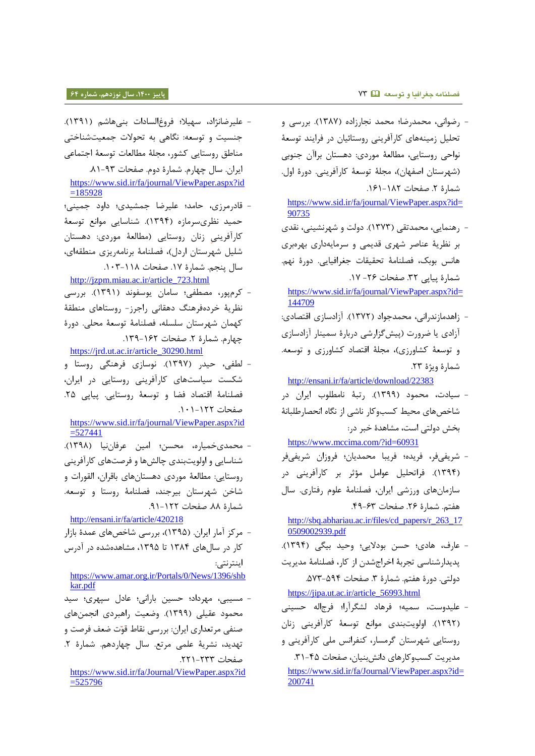#### **فصلنامه جغرافیا و توسعه** 48 **پاییز ،0011 سال نوزدهم، شماره 60**

- علیرضانژاد، سهیلا؛ فروغالسادات بنیهاشم (۱۳۹۱). جنسیت و توسعه: نگاهی به تحولات جمعیتشناختی مناطق روستایی کشرر مجلۀ مطالهات ترسهۀ اجتماعی ایران. سال چهارم. شمارۀ دوم. صفحات ۹۳-۸۱.

[https://www.sid.ir/fa/journal/ViewPaper.aspx?id](https://www.sid.ir/fa/journal/ViewPaper.aspx?id=185928)  $=185928$ 

- قادرمرزی، حامد؛ علیرضا جمشیدی؛ داود جمینی؛ حمید نظریسرمازه (۱۳۹۴). شناسایی موانع توسعۀ کارآفرینی زنان روستایی (مطالعۀ موردی: دهستان شلیل شهرستان اردل)، فصلنامۀ برنامهریزی منطقهای، سال پنجم. شمارۀ ١٧. صفحات ١٠٨-١٠٣.

[http://jzpm.miau.ac.ir/article\\_723.html](http://jzpm.miau.ac.ir/article_723.html)

- کر پرر مصطفی؛ سامان یرسفراد )5845(. بررسی نظریۀ خردهفرهنگ دهقانی راجرز- روستاهای منطقۀ کهمان هرستان سلسل، فصلنامۀ ترسهۀ محلی. رورۀ چهارم. شمارۀ ٢. صفحات ١۶٢-١٣٩.

[https://jrd.ut.ac.ir/article\\_30290.html](https://jrd.ut.ac.ir/article_30290.html)

- لطفی، حیدر (۱۳۹۷). نوسازی فرهنگی روستا و شکست سیاستهای کارآفرینی روستایی در ایران، فصلنامۀ اقتصاد فضا و توسعۀ روستایی. پیایی ۲۵. صفحات ١٢٢-١٠١.

[https://www.sid.ir/fa/journal/ViewPaper.aspx?id](https://www.sid.ir/fa/journal/ViewPaper.aspx?id=527441)  $=527441$ 

- محمدیخمیاره، محسن؛ امین عرفاننیا (۱۳۹۸). شناسایی و اولویتبندی چالشها و فرصتهای کارآفرینی روستایی: مطالهۀ مررر راستاناا بارران القررات و شاخن شهرستان بیرجند، فصلنامۀ روستا و توسعه. شمارۀ ٨٨. صفحات ١٢٢-٩١.

<http://ensani.ir/fa/article/420218>

- مرکي آمار ایران. )5844( بررسی اتصاا عمدۀ بازار کار در سال های ۱۳۸۴ تا ۱۳۹۵، مشاهدهشده در آدرس اینتراتی:

[https://www.amar.org.ir/Portals/0/News/1396/shb](https://www.amar.org.ir/Portals/0/News/1396/shbkar.pdf) [kar.pdf](https://www.amar.org.ir/Portals/0/News/1396/shbkar.pdf)

- مسیبی، مهرداد؛ حسین بارانی؛ عادل سپهری؛ سید محمود عقیلی (۱۳۹۹). وضعیت راهبردی انجمنهای صنفی مرتعداری ایران: بررسی نقاط قوّت ضعف فرصت و تهدید، نشریۀ علمی مرتع. سال چهاردهم. شمارۀ ٢. صفحات ٢٣٣-٢٢١.

[https://www.sid.ir/fa/Journal/ViewPaper.aspx?id](https://www.sid.ir/fa/Journal/ViewPaper.aspx?id=525796)  $=525796$ 

- رضراای محمدرضا؛ محمد اجارزاره )5844(. بررسی و تحلیل زمینههای کارآفرینی روستائیان در فرایند توسعۀ نواحی روستایی، مطالعۀ موردی: دهستان براآن جنوبی (شهرستان اصفهان)، مجلۀ توسعۀ کارآفرینی. دورۀ اول. شمارۀ ٢. صفحات ١٨٢-١٦١.

[https://www.sid.ir/fa/journal/ViewPaper.aspx?id=](https://www.sid.ir/fa/journal/ViewPaper.aspx?id=90735) [90735](https://www.sid.ir/fa/journal/ViewPaper.aspx?id=90735)

- رهنمایی، محمدتقی (۱۳۷۳). دولت و شهرنشینی، نقدی بر نظریۀ عناصر شهری قدیمی و سرمایهداری بهرهبری هانس بوبک، فصلنامۀ تحقیقات جغرافیایی. دورۀ نهم. شمارۀ پیایی ٣٢. صفحات ٢۶- ١٧.

[https://www.sid.ir/fa/journal/ViewPaper.aspx?id=](https://www.sid.ir/fa/journal/ViewPaper.aspx?id=144709) [144709](https://www.sid.ir/fa/journal/ViewPaper.aspx?id=144709)

- زاهدمازندرانی، محمدجواد (١٣٧٢). آزادسازی اقتصادی: آزادی یا ضرورت (پیشگزارشی دربارۀ سمینار آزادسازی و توسعۀ کشاورزی)، مجلۀ اقتصاد کشاورزی و توسعه. شمارۀ ویژۀ ۲۳.

<http://ensani.ir/fa/article/download/22383>

- سیارت محمرر )5844(. رتبۀ اامطلرب ایران رر شاخص های محیط کسبوکار ناشی از نگاه انحصارطلبانۀ بخش دولتی است، مشاهدۀ خبر در:

<https://www.mccima.com/?id=60931>

- ریفیفر فریده؛ فریبا محمدیان؛ فروزان ریفیفر (۱۳۹۴). فراتحلیل عوامل مؤثر بر کارآفرینی در سازمانهای ورزشی ایران، فصلنامۀ علوم رفتاری. سال هفتم. شمارۀ ٢۶. صفحات ۶۳-۴۹.

[http://sbq.abhariau.ac.ir/files/cd\\_papers/r\\_263\\_17](http://sbq.abhariau.ac.ir/files/cd_papers/r_263_170509002939.pdf) [0509002939.pdf](http://sbq.abhariau.ac.ir/files/cd_papers/r_263_170509002939.pdf)

- عارف، هادی؛ حسن بودلایی؛ وحید بیگی (۱۳۹۴). پدیدارشناسی تجربۀ اخراجشدن از کار، فصلنامۀ مدیریت دولتی. دورۀ هفتم. شمارۀ ٣. صفحات ٥٩۴–۵۷۳.

[https://jipa.ut.ac.ir/article\\_56993.html](https://jipa.ut.ac.ir/article_56993.html)

- علیدوست، سمیه؛ فرهاد لشگرآرا؛ فرج|له حسینی (۱۳۹۲). اولویتبندی موانع توسعۀ کارآفرینی زنان روستایی هرستان گرمسار کنفرااس ملی کارآفرینی و مدیریت کسبوکارهای دانش بنیان، صفحات ۴۵-۳۱. [https://www.sid.ir/fa/Journal/ViewPaper.aspx?id=](https://www.sid.ir/fa/Journal/ViewPaper.aspx?id=200741) [200741](https://www.sid.ir/fa/Journal/ViewPaper.aspx?id=200741)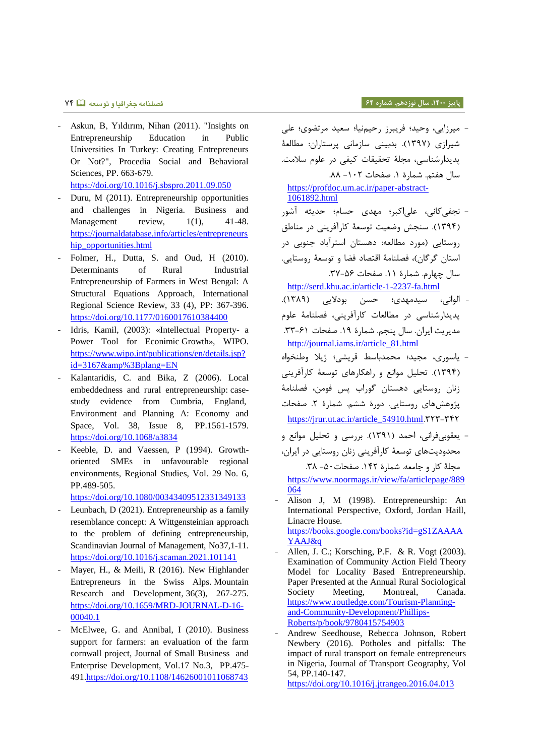#### **پاییز ،0011 سال نوزدهم، شماره 60 فصلنامه جغرافیا و توسعه** 45

- Askun, B, Yıldırım, Nihan (2011). "Insights on Entrepreneurship Education in Public Universities In Turkey: Creating Entrepreneurs Or Not?", Procedia Social and Behavioral Sciences, PP. 663-679. <https://doi.org/10.1016/j.sbspro.2011.09.050>
- Duru, M (2011). Entrepreneurship opportunities and challenges in Nigeria. Business and Management review,  $1(1)$ , 41-48. [https://journaldatabase.info/articles/entrepreneurs](https://journaldatabase.info/articles/entrepreneurship_opportunities.html) [hip\\_opportunities.html](https://journaldatabase.info/articles/entrepreneurship_opportunities.html)
- Folmer, H., Dutta, S. and Oud, H (2010). Determinants of Rural Industrial Entrepreneurship of Farmers in West Bengal: A Structural Equations Approach, International Regional Science Review, 33 (4), PP: 367-396. <https://doi.org/10.1177/0160017610384400>
- Idris, Kamil, (2003): «Intellectual Property- a Power Tool for Econimic Growth», WIPO. [https://www.wipo.int/publications/en/details.jsp?](https://www.wipo.int/publications/en/details.jsp?id=3167&%3Bplang=EN)  $id=3167\&\%3Bplane=EN$
- Kalantaridis, C. and Bika, Z (2006). Local embeddedness and rural entrepreneurship: casestudy evidence from Cumbria, England, Environment and Planning A: Economy and Space, Vol. 38, Issue 8, PP.1561-1579. <https://doi.org/10.1068/a3834>
- Keeble, D. and Vaessen, P (1994). Growthoriented SMEs in unfavourable regional environments, Regional Studies, Vol. 29 No. 6, PP.489-505.

<https://doi.org/10.1080/00343409512331349133>

- Leunbach, D (2021). Entrepreneurship as a family resemblance concept: A Wittgensteinian approach to the problem of defining entrepreneurship, Scandinavian Journal of Management, No37,1-11. <https://doi.org/10.1016/j.scaman.2021.101141>
- Mayer, H., & Meili, R (2016). New Highlander Entrepreneurs in the Swiss Alps. Mountain Research and Development, 36(3), 267-275. [https://doi.org/10.1659/MRD-JOURNAL-D-16-](https://doi.org/10.1659/MRD-JOURNAL-D-16-00040.1) [00040.1](https://doi.org/10.1659/MRD-JOURNAL-D-16-00040.1)
- McElwee, G. and Annibal, I (2010). Business support for farmers: an evaluation of the farm cornwall project, Journal of Small Business and Enterprise Development, Vol.17 No.3, PP.475- 491[.https://doi.org/10.1108/14626001011068743](https://doi.org/10.1108/14626001011068743)

- میرزایی، وحید؛ فریبرز رحیمایا؛ سعید مرتضوی؛ علی شیرازی (۱۳۹۷). بدبینی سازمانی پرستاران: مطالعۀ پدیدار ناسی مجلۀ تحقیقات کیفی رر علر سالمت. سال هفتم. شمارۀ ١. صفحات ٠٢- ٨٨.

[https://profdoc.um.ac.ir/paper-abstract-](https://profdoc.um.ac.ir/paper-abstract-1061892.html)[1061892.html](https://profdoc.um.ac.ir/paper-abstract-1061892.html)

- نجفیکانی، علیاکبر؛ مهدی حسام؛ حدیثه آشور )5845(. سنجش وضهیت ترسهۀ کارآفرینی رر مناطق روستایی (مورد مطالعه: دهستان استرآباد جنوبی در استان گرگان)، فصلنامۀ اقتصاد فضا و توسعۀ روستایی. سال چهارم. شمارۀ ١١. صفحات ٥۶-٣٧.

<http://serd.khu.ac.ir/article-1-2237-fa.html>

- الوانی، سیدمهدی؛ حسن بودلایی (۱۳۸۹). پدیدار ناسی رر مطالهات کارآفرینی فصلنامۀ علر مدیریت ایران. سال پنجم. شمارۀ ١٩. صفحات ۶۱-۳۳. [http://journal.iams.ir/article\\_81.html](http://journal.iams.ir/article_81.html)
- یاسرر مجید؛ محمدباسط رریشی؛ ژیال وطنخراه (۱۳۹۴). تحلیل موانع و راهکارهای توسعۀ کارآفرینی زنان روستایی دهستان گوراب پس فومن، فصلنامۀ پژوهشهای روستایی. دورۀ ششم. شمارۀ ۲. صفحات [https://jrur.ut.ac.ir/article\\_54910.html](https://jrur.ut.ac.ir/article_54910.html).۳۲۳-۳۴۲
- یعقوبیفرانی، احمد (۱۳۹۱). بررسی و تحلیل موانع و محدودیتهای توسعۀ کارآفرینی زنان روستایی در ایران، مجلۀ کار و جامعه. شمارۀ ١۴٢. صفحات ٥٠- ٣٨. [https://www.noormags.ir/view/fa/articlepage/889](https://www.noormags.ir/view/fa/articlepage/889064) [064](https://www.noormags.ir/view/fa/articlepage/889064)
- Alison J, M (1998). Entrepreneurship: An International Perspective, Oxford, Jordan Haill, Linacre House. [https://books.google.com/books?id=gS1ZAAAA](https://books.google.com/books?id=gS1ZAAAAYAAJ&q) [YAAJ&q](https://books.google.com/books?id=gS1ZAAAAYAAJ&q)
- Allen, J. C.; Korsching, P.F. & R. Vogt (2003). Examination of Community Action Field Theory Model for Locality Based Entrepreneurship. Paper Presented at the Annual Rural Sociological Society Meeting, Montreal, Canada. [https://www.routledge.com/Tourism-Planning](https://www.routledge.com/Tourism-Planning-and-Community-Development/Phillips-Roberts/p/book/9780415754903)[and-Community-Development/Phillips-](https://www.routledge.com/Tourism-Planning-and-Community-Development/Phillips-Roberts/p/book/9780415754903)[Roberts/p/book/9780415754903](https://www.routledge.com/Tourism-Planning-and-Community-Development/Phillips-Roberts/p/book/9780415754903)
- Andrew Seedhouse, Rebecca Johnson, Robert Newbery (2016). Potholes and pitfalls: The impact of rural transport on female entrepreneurs in Nigeria, Journal of Transport Geography, Vol 54, PP.140-147.

<https://doi.org/10.1016/j.jtrangeo.2016.04.013>